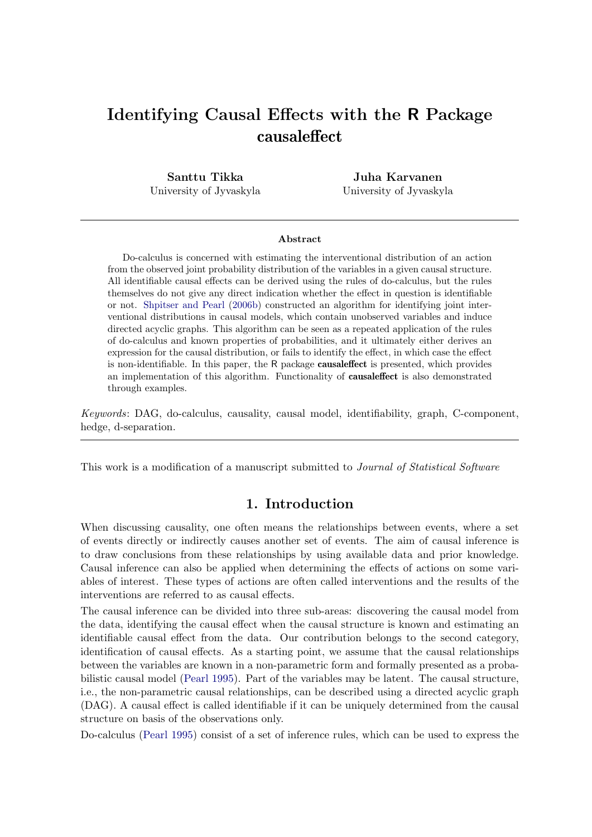# Identifying Causal Effects with the R Package causaleffect

Santtu Tikka University of Jyvaskyla

Juha Karvanen University of Jyvaskyla

#### Abstract

Do-calculus is concerned with estimating the interventional distribution of an action from the observed joint probability distribution of the variables in a given causal structure. All identifiable causal effects can be derived using the rules of do-calculus, but the rules themselves do not give any direct indication whether the effect in question is identifiable or not. [Shpitser and Pearl](#page-24-0) [\(2006b\)](#page-24-0) constructed an algorithm for identifying joint interventional distributions in causal models, which contain unobserved variables and induce directed acyclic graphs. This algorithm can be seen as a repeated application of the rules of do-calculus and known properties of probabilities, and it ultimately either derives an expression for the causal distribution, or fails to identify the effect, in which case the effect is non-identifiable. In this paper, the R package causaleffect is presented, which provides an implementation of this algorithm. Functionality of causaleffect is also demonstrated through examples.

Keywords: DAG, do-calculus, causality, causal model, identifiability, graph, C-component, hedge, d-separation.

This work is a modification of a manuscript submitted to *Journal of Statistical Software* 

# 1. Introduction

When discussing causality, one often means the relationships between events, where a set of events directly or indirectly causes another set of events. The aim of causal inference is to draw conclusions from these relationships by using available data and prior knowledge. Causal inference can also be applied when determining the effects of actions on some variables of interest. These types of actions are often called interventions and the results of the interventions are referred to as causal effects.

The causal inference can be divided into three sub-areas: discovering the causal model from the data, identifying the causal effect when the causal structure is known and estimating an identifiable causal effect from the data. Our contribution belongs to the second category, identification of causal effects. As a starting point, we assume that the causal relationships between the variables are known in a non-parametric form and formally presented as a probabilistic causal model [\(Pearl](#page-24-1) [1995\)](#page-24-1). Part of the variables may be latent. The causal structure, i.e., the non-parametric causal relationships, can be described using a directed acyclic graph (DAG). A causal effect is called identifiable if it can be uniquely determined from the causal structure on basis of the observations only.

Do-calculus [\(Pearl](#page-24-1) [1995\)](#page-24-1) consist of a set of inference rules, which can be used to express the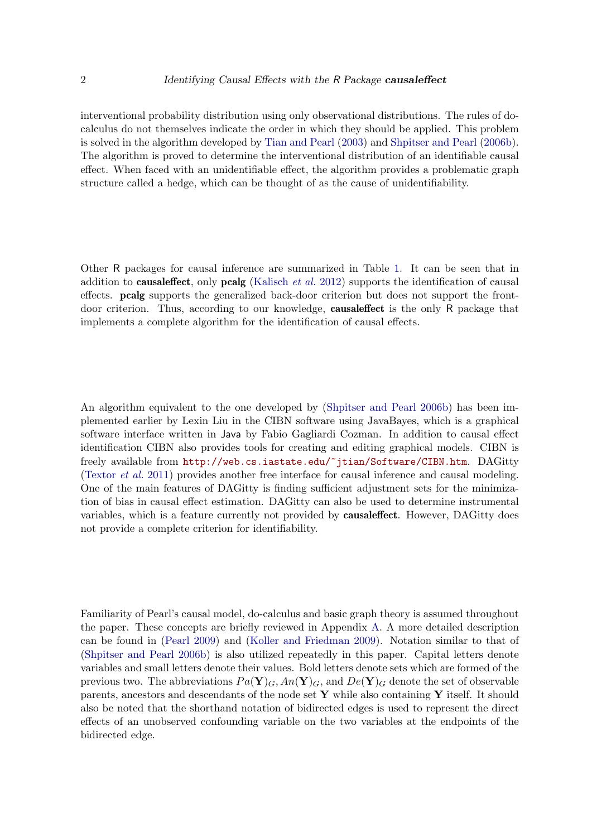interventional probability distribution using only observational distributions. The rules of docalculus do not themselves indicate the order in which they should be applied. This problem is solved in the algorithm developed by [Tian and Pearl](#page-25-0) [\(2003\)](#page-25-0) and [Shpitser and Pearl](#page-24-0) [\(2006b\)](#page-24-0). The algorithm is proved to determine the interventional distribution of an identifiable causal effect. When faced with an unidentifiable effect, the algorithm provides a problematic graph structure called a hedge, which can be thought of as the cause of unidentifiability.

Other R packages for causal inference are summarized in Table [1.](#page-2-0) It can be seen that in addition to **causaleffect**, only **pcalg** [\(Kalisch](#page-23-0) *et al.* [2012\)](#page-23-0) supports the identification of causal effects. pcalg supports the generalized back-door criterion but does not support the frontdoor criterion. Thus, according to our knowledge, causaleffect is the only R package that implements a complete algorithm for the identification of causal effects.

An algorithm equivalent to the one developed by [\(Shpitser and Pearl](#page-24-0) [2006b\)](#page-24-0) has been implemented earlier by Lexin Liu in the CIBN software using JavaBayes, which is a graphical software interface written in Java by Fabio Gagliardi Cozman. In addition to causal effect identification CIBN also provides tools for creating and editing graphical models. CIBN is freely available from <http://web.cs.iastate.edu/~jtian/Software/CIBN.htm>. DAGitty [\(Textor](#page-25-1) et al. [2011\)](#page-25-1) provides another free interface for causal inference and causal modeling. One of the main features of DAGitty is finding sufficient adjustment sets for the minimization of bias in causal effect estimation. DAGitty can also be used to determine instrumental variables, which is a feature currently not provided by causaleffect. However, DAGitty does not provide a complete criterion for identifiability.

Familiarity of Pearl's causal model, do-calculus and basic graph theory is assumed throughout the paper. These concepts are briefly reviewed in Appendix [A.](#page-26-0) A more detailed description can be found in [\(Pearl](#page-24-2) [2009\)](#page-24-2) and [\(Koller and Friedman](#page-23-1) [2009\)](#page-23-1). Notation similar to that of [\(Shpitser and Pearl](#page-24-0) [2006b\)](#page-24-0) is also utilized repeatedly in this paper. Capital letters denote variables and small letters denote their values. Bold letters denote sets which are formed of the previous two. The abbreviations  $Pa(Y)<sub>G</sub>, An(Y)<sub>G</sub>$ , and  $De(Y)<sub>G</sub>$  denote the set of observable parents, ancestors and descendants of the node set  $\bf{Y}$  while also containing  $\bf{Y}$  itself. It should also be noted that the shorthand notation of bidirected edges is used to represent the direct effects of an unobserved confounding variable on the two variables at the endpoints of the bidirected edge.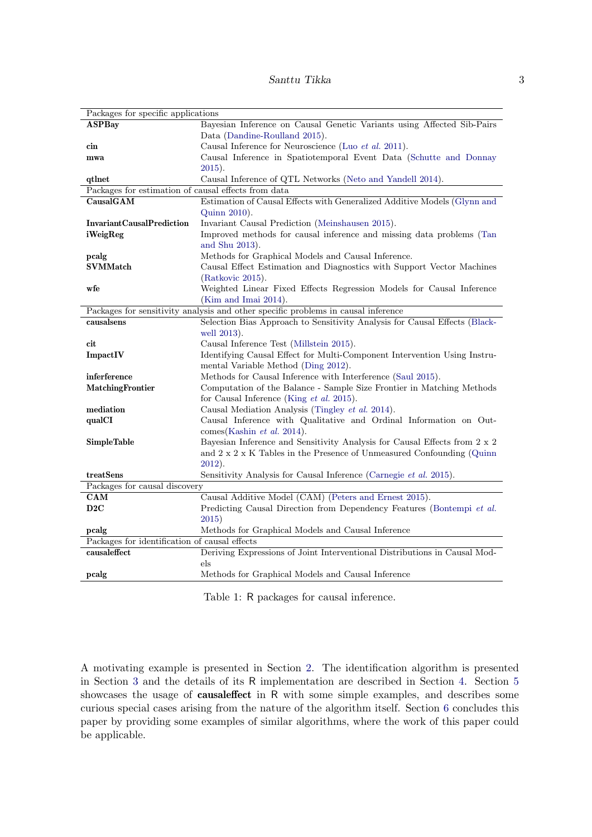<span id="page-2-0"></span>

| Packages for specific applications                                                |                                                                                                 |
|-----------------------------------------------------------------------------------|-------------------------------------------------------------------------------------------------|
| <b>ASPBay</b>                                                                     | Bayesian Inference on Causal Genetic Variants using Affected Sib-Pairs                          |
|                                                                                   | Data (Dandine-Roulland 2015).                                                                   |
| cin                                                                               | Causal Inference for Neuroscience (Luo et al. 2011).                                            |
| mwa                                                                               | Causal Inference in Spatiotemporal Event Data (Schutte and Donnay                               |
|                                                                                   | $2015$ ).                                                                                       |
| qtlnet                                                                            | Causal Inference of QTL Networks (Neto and Yandell 2014).                                       |
| Packages for estimation of causal effects from data                               |                                                                                                 |
| CausalGAM                                                                         | Estimation of Causal Effects with Generalized Additive Models (Glynn and                        |
|                                                                                   | Quinn 2010).                                                                                    |
| <b>InvariantCausalPrediction</b>                                                  | Invariant Causal Prediction (Meinshausen 2015).                                                 |
| iWeigReg                                                                          | Improved methods for causal inference and missing data problems (Tan                            |
|                                                                                   | and Shu 2013).                                                                                  |
| pcalg                                                                             | Methods for Graphical Models and Causal Inference.                                              |
| <b>SVMMatch</b>                                                                   | Causal Effect Estimation and Diagnostics with Support Vector Machines                           |
|                                                                                   | (Ratkovic 2015).                                                                                |
| wfe                                                                               | Weighted Linear Fixed Effects Regression Models for Causal Inference                            |
|                                                                                   | (Kim and Imai $2014$ ).                                                                         |
| Packages for sensitivity analysis and other specific problems in causal inference |                                                                                                 |
| causalsens                                                                        | Selection Bias Approach to Sensitivity Analysis for Causal Effects (Black-                      |
|                                                                                   | well 2013).                                                                                     |
| cit                                                                               | Causal Inference Test (Millstein 2015).                                                         |
| ImpactIV                                                                          | Identifying Causal Effect for Multi-Component Intervention Using Instru-                        |
|                                                                                   | mental Variable Method (Ding 2012).                                                             |
| inferference                                                                      | Methods for Causal Inference with Interference (Saul 2015).                                     |
| MatchingFrontier                                                                  | Computation of the Balance - Sample Size Frontier in Matching Methods                           |
|                                                                                   | for Causal Inference (King et al. 2015).                                                        |
| mediation                                                                         | Causal Mediation Analysis (Tingley et al. 2014).                                                |
| qualCI                                                                            | Causal Inference with Qualitative and Ordinal Information on Out-<br>comes(Kashin et al. 2014). |
| <b>SimpleTable</b>                                                                | Bayesian Inference and Sensitivity Analysis for Causal Effects from 2 x 2                       |
|                                                                                   | and 2 x 2 x K Tables in the Presence of Unmeasured Confounding (Quinn                           |
|                                                                                   | $2012$ ).                                                                                       |
| treatSens                                                                         | Sensitivity Analysis for Causal Inference (Carnegie et al. 2015).                               |
| Packages for causal discovery                                                     |                                                                                                 |
| CAM                                                                               | Causal Additive Model (CAM) (Peters and Ernest 2015).                                           |
| D2C                                                                               | Predicting Causal Direction from Dependency Features (Bontempi et al.                           |
|                                                                                   | 2015)                                                                                           |
| pcalg                                                                             | Methods for Graphical Models and Causal Inference                                               |
| Packages for identification of causal effects                                     |                                                                                                 |
| causaleffect                                                                      | Deriving Expressions of Joint Interventional Distributions in Causal Mod-                       |
|                                                                                   | $_{\text{els}}$                                                                                 |
| pcalg                                                                             | Methods for Graphical Models and Causal Inference                                               |
|                                                                                   |                                                                                                 |

Table 1: R packages for causal inference.

A motivating example is presented in Section [2.](#page-3-0) The identification algorithm is presented in Section [3](#page-4-0) and the details of its R implementation are described in Section [4.](#page-11-0) Section [5](#page-17-0) showcases the usage of causaleffect in R with some simple examples, and describes some curious special cases arising from the nature of the algorithm itself. Section [6](#page-21-0) concludes this paper by providing some examples of similar algorithms, where the work of this paper could be applicable.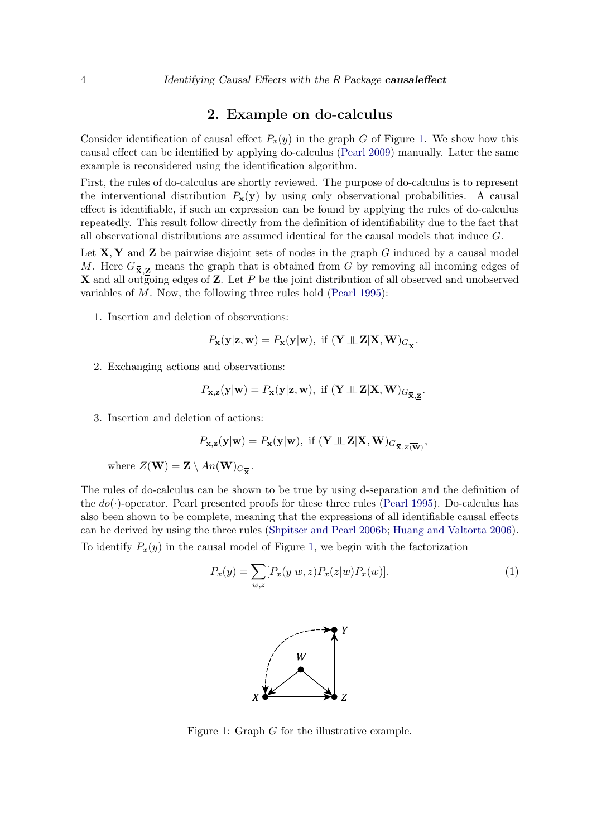### 2. Example on do-calculus

<span id="page-3-0"></span>Consider identification of causal effect  $P_x(y)$  in the graph G of Figure [1.](#page-3-1) We show how this causal effect can be identified by applying do-calculus [\(Pearl](#page-24-2) [2009\)](#page-24-2) manually. Later the same example is reconsidered using the identification algorithm.

First, the rules of do-calculus are shortly reviewed. The purpose of do-calculus is to represent the interventional distribution  $P_{\mathbf{x}}(\mathbf{y})$  by using only observational probabilities. A causal effect is identifiable, if such an expression can be found by applying the rules of do-calculus repeatedly. This result follow directly from the definition of identifiability due to the fact that all observational distributions are assumed identical for the causal models that induce G.

Let  $X, Y$  and  $Z$  be pairwise disjoint sets of nodes in the graph G induced by a causal model M. Here  $G_{\overline{X},\mathbf{Z}}$  means the graph that is obtained from G by removing all incoming edges of **X** and all outgoing edges of **Z**. Let  $P$  be the joint distribution of all observed and unobserved variables of M. Now, the following three rules hold [\(Pearl](#page-24-1) [1995\)](#page-24-1):

1. Insertion and deletion of observations:

$$
P_{\mathbf{x}}(\mathbf{y}|\mathbf{z},\mathbf{w}) = P_{\mathbf{x}}(\mathbf{y}|\mathbf{w}), \text{ if } (\mathbf{Y} \perp \!\!\! \perp \mathbf{Z}|\mathbf{X},\mathbf{W})_{G_{\overline{\mathbf{x}}}}.
$$

2. Exchanging actions and observations:

$$
P_{\mathbf{x},\mathbf{z}}(\mathbf{y}|\mathbf{w}) = P_{\mathbf{x}}(\mathbf{y}|\mathbf{z},\mathbf{w}), \text{ if } (\mathbf{Y} \perp \!\!\! \perp \mathbf{Z}|\mathbf{X},\mathbf{W})_{G_{\overline{\mathbf{X}},\mathbf{Z}}}.
$$

3. Insertion and deletion of actions:

$$
P_{\mathbf{x},\mathbf{z}}(\mathbf{y}|\mathbf{w}) = P_{\mathbf{x}}(\mathbf{y}|\mathbf{w}), \text{ if } (\mathbf{Y} \perp \!\!\! \perp \mathbf{Z}|\mathbf{X}, \mathbf{W})_{G_{\overline{\mathbf{X}}, Z(\overline{\mathbf{W}})}},
$$

where  $Z(\mathbf{W}) = \mathbf{Z} \setminus An(\mathbf{W})_{G_{\overline{\mathbf{X}}}}$ .

<span id="page-3-1"></span>The rules of do-calculus can be shown to be true by using d-separation and the definition of the  $do(\cdot)$ -operator. Pearl presented proofs for these three rules [\(Pearl](#page-24-1) [1995\)](#page-24-1). Do-calculus has also been shown to be complete, meaning that the expressions of all identifiable causal effects can be derived by using the three rules [\(Shpitser and Pearl](#page-24-0) [2006b;](#page-24-0) [Huang and Valtorta](#page-23-9) [2006\)](#page-23-9). To identify  $P_x(y)$  in the causal model of Figure [1,](#page-3-1) we begin with the factorization

$$
P_x(y) = \sum_{w,z} [P_x(y|w,z)P_x(z|w)P_x(w)].
$$
\n(1)

<span id="page-3-2"></span>

Figure 1: Graph G for the illustrative example.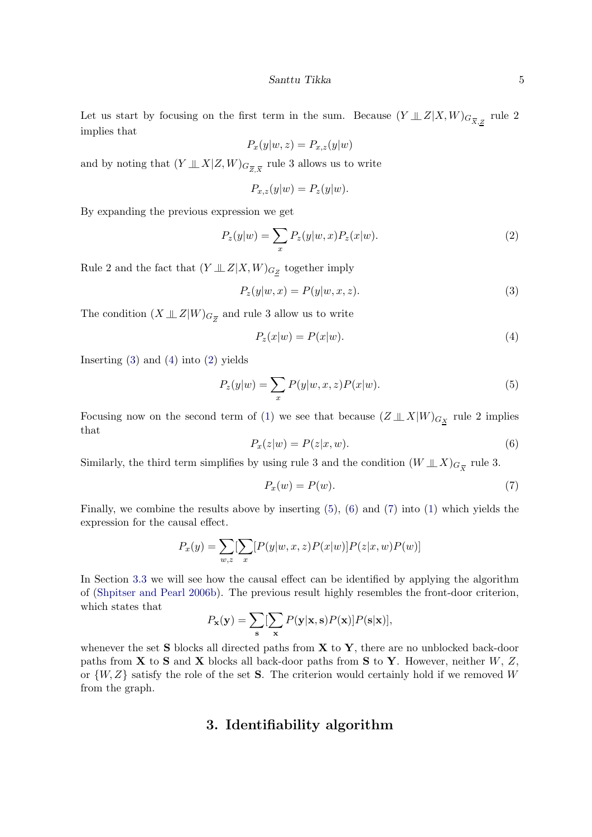Let us start by focusing on the first term in the sum. Because  $(Y \perp\!\!\!\perp Z | X, W)_{G_{\overline{X},Z}}$  rule 2 implies that

$$
P_x(y|w,z) = P_{x,z}(y|w)
$$

and by noting that  $(Y \perp\!\!\!\perp X | Z, W)_{G_{\overline{Z}, \overline{X}}}$  rule 3 allows us to write

<span id="page-4-3"></span>
$$
P_{x,z}(y|w) = P_z(y|w).
$$

By expanding the previous expression we get

$$
P_z(y|w) = \sum_x P_z(y|w, x) P_z(x|w).
$$
\n(2)

Rule 2 and the fact that  $(Y \perp\!\!\!\perp Z | X, W)_{G_Z}$  together imply

<span id="page-4-1"></span>
$$
P_z(y|w,x) = P(y|w,x,z).
$$
\n(3)

The condition  $(X \perp\!\!\!\perp Z|W)_{G_{\overline{Z}}}$  and rule 3 allow us to write

<span id="page-4-4"></span><span id="page-4-2"></span>
$$
P_z(x|w) = P(x|w). \tag{4}
$$

Inserting  $(3)$  and  $(4)$  into  $(2)$  yields

$$
P_z(y|w) = \sum_x P(y|w, x, z) P(x|w).
$$
\n(5)

<span id="page-4-5"></span>Focusing now on the second term of [\(1\)](#page-3-2) we see that because  $(Z \perp\!\!\!\perp X|W)_{G_X}$  rule 2 implies that

$$
P_x(z|w) = P(z|x, w). \tag{6}
$$

Similarly, the third term simplifies by using rule 3 and the condition  $(W \perp\!\!\!\perp X)_{G_{\overline{X}}}$  rule 3.

<span id="page-4-6"></span>
$$
P_x(w) = P(w). \tag{7}
$$

Finally, we combine the results above by inserting [\(5\)](#page-4-4), [\(6\)](#page-4-5) and [\(7\)](#page-4-6) into [\(1\)](#page-3-2) which yields the expression for the causal effect.

$$
P_x(y) = \sum_{w,z} \left[ \sum_x [P(y|w,x,z)P(x|w)]P(z|x,w)P(w) \right]
$$

In Section [3.3](#page-9-0) we will see how the causal effect can be identified by applying the algorithm of [\(Shpitser and Pearl](#page-24-0) [2006b\)](#page-24-0). The previous result highly resembles the front-door criterion, which states that

$$
P_{\mathbf{x}}(\mathbf{y}) = \sum_{\mathbf{s}} \left[ \sum_{\mathbf{x}} P(\mathbf{y}|\mathbf{x}, \mathbf{s}) P(\mathbf{x}) \right] P(\mathbf{s}|\mathbf{x})],
$$

<span id="page-4-0"></span>whenever the set  $S$  blocks all directed paths from  $X$  to  $Y$ , there are no unblocked back-door paths from **X** to **S** and **X** blocks all back-door paths from **S** to **Y**. However, neither  $W$ ,  $Z$ , or  $\{W, Z\}$  satisfy the role of the set **S**. The criterion would certainly hold if we removed W from the graph.

### 3. Identifiability algorithm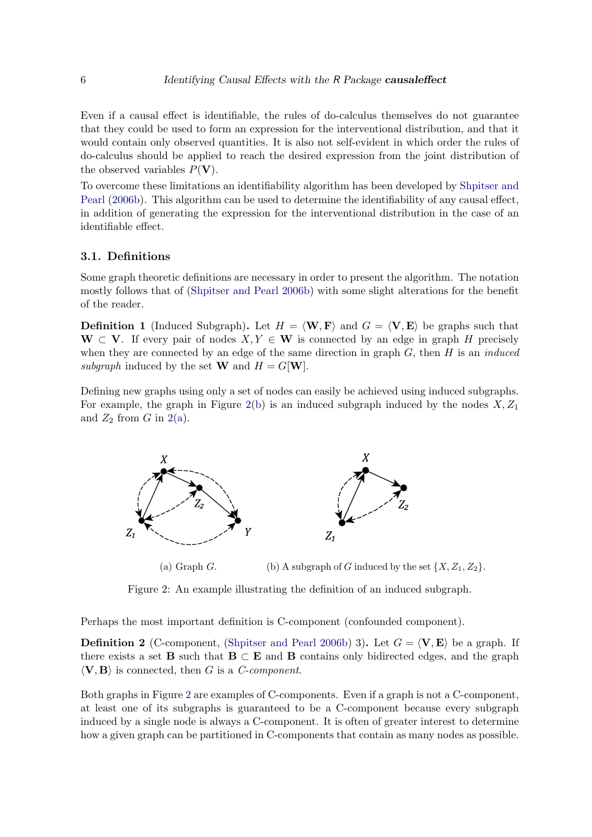Even if a causal effect is identifiable, the rules of do-calculus themselves do not guarantee that they could be used to form an expression for the interventional distribution, and that it would contain only observed quantities. It is also not self-evident in which order the rules of do-calculus should be applied to reach the desired expression from the joint distribution of the observed variables  $P(\mathbf{V})$ .

To overcome these limitations an identifiability algorithm has been developed by [Shpitser and](#page-24-0) [Pearl](#page-24-0) [\(2006b\)](#page-24-0). This algorithm can be used to determine the identifiability of any causal effect, in addition of generating the expression for the interventional distribution in the case of an identifiable effect.

### <span id="page-5-1"></span>3.1. Definitions

Some graph theoretic definitions are necessary in order to present the algorithm. The notation mostly follows that of [\(Shpitser and Pearl](#page-24-0) [2006b\)](#page-24-0) with some slight alterations for the benefit of the reader.

**Definition 1** (Induced Subgraph). Let  $H = \langle W, F \rangle$  and  $G = \langle V, E \rangle$  be graphs such that  $\mathbf{W} \subset \mathbf{V}$ . If every pair of nodes  $X, Y \in \mathbf{W}$  is connected by an edge in graph H precisely when they are connected by an edge of the same direction in graph  $G$ , then  $H$  is an *induced* subgraph induced by the set **W** and  $H = G[\mathbf{W}]$ .

Defining new graphs using only a set of nodes can easily be achieved using induced subgraphs. For example, the graph in Figure [2\(b\)](#page-5-0) is an induced subgraph induced by the nodes  $X, Z_1$ and  $Z_2$  from G in [2\(a\)](#page-5-0).

<span id="page-5-0"></span>

(a) Graph G. (b) A subgraph of G induced by the set  $\{X, Z_1, Z_2\}.$ 

Figure 2: An example illustrating the definition of an induced subgraph.

Perhaps the most important definition is C-component (confounded component).

**Definition 2** (C-component, [\(Shpitser and Pearl](#page-24-0) [2006b\)](#page-24-0) 3). Let  $G = \langle V, E \rangle$  be a graph. If there exists a set **B** such that  $B \subset E$  and **B** contains only bidirected edges, and the graph  $\langle V, B \rangle$  is connected, then G is a C-component.

Both graphs in Figure [2](#page-5-0) are examples of C-components. Even if a graph is not a C-component, at least one of its subgraphs is guaranteed to be a C-component because every subgraph induced by a single node is always a C-component. It is often of greater interest to determine how a given graph can be partitioned in C-components that contain as many nodes as possible.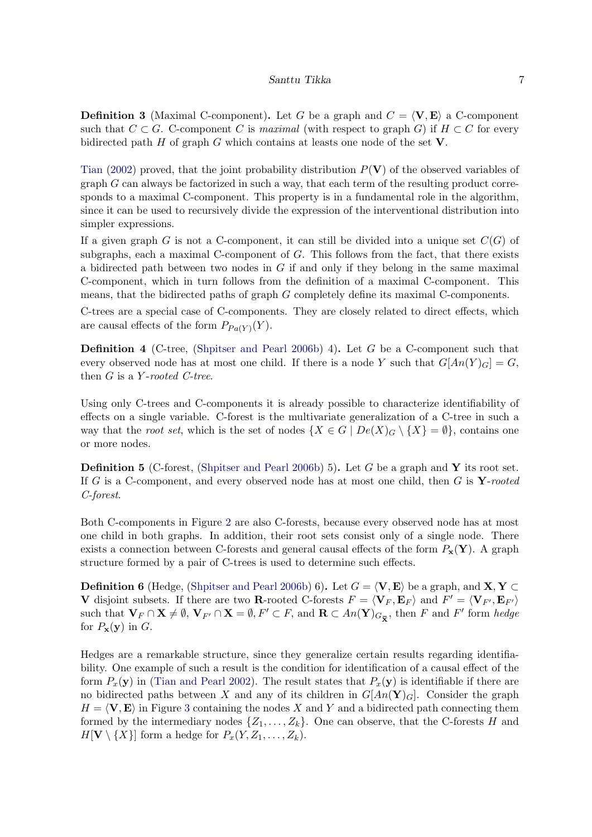**Definition 3** (Maximal C-component). Let G be a graph and  $C = \langle V, E \rangle$  a C-component such that  $C \subset G$ . C-component C is maximal (with respect to graph G) if  $H \subset C$  for every bidirected path H of graph G which contains at leasts one node of the set  $V$ .

[Tian](#page-25-4) [\(2002\)](#page-25-4) proved, that the joint probability distribution  $P(\mathbf{V})$  of the observed variables of  $graph G$  can always be factorized in such a way, that each term of the resulting product corresponds to a maximal C-component. This property is in a fundamental role in the algorithm, since it can be used to recursively divide the expression of the interventional distribution into simpler expressions.

If a given graph G is not a C-component, it can still be divided into a unique set  $C(G)$  of subgraphs, each a maximal C-component of  $G$ . This follows from the fact, that there exists a bidirected path between two nodes in  $G$  if and only if they belong in the same maximal C-component, which in turn follows from the definition of a maximal C-component. This means, that the bidirected paths of graph G completely define its maximal C-components.

C-trees are a special case of C-components. They are closely related to direct effects, which are causal effects of the form  $P_{Pa(Y)}(Y)$ .

Definition 4 (C-tree, [\(Shpitser and Pearl](#page-24-0) [2006b\)](#page-24-0) 4). Let G be a C-component such that every observed node has at most one child. If there is a node Y such that  $G[An(Y)_{G}] = G$ , then  $G$  is a  $Y$ -rooted C-tree.

Using only C-trees and C-components it is already possible to characterize identifiability of effects on a single variable. C-forest is the multivariate generalization of a C-tree in such a way that the *root set*, which is the set of nodes  $\{X \in G \mid De(X)_{G} \setminus \{X\} = \emptyset\}$ , contains one or more nodes.

**Definition 5** (C-forest, [\(Shpitser and Pearl](#page-24-0) [2006b\)](#page-24-0) 5). Let G be a graph and Y its root set. If G is a C-component, and every observed node has at most one child, then  $G$  is  $Y$ -rooted C-forest.

Both C-components in Figure [2](#page-5-0) are also C-forests, because every observed node has at most one child in both graphs. In addition, their root sets consist only of a single node. There exists a connection between C-forests and general causal effects of the form  $P_{\mathbf{x}}(\mathbf{Y})$ . A graph structure formed by a pair of C-trees is used to determine such effects.

**Definition 6** (Hedge, [\(Shpitser and Pearl](#page-24-0) [2006b\)](#page-24-0) 6). Let  $G = \langle V, E \rangle$  be a graph, and  $X, Y \subset$ V disjoint subsets. If there are two R-rooted C-forests  $F = \langle V_F, E_F \rangle$  and  $F' = \langle V_{F'}, E_{F'} \rangle$ such that  $\mathbf{V}_F \cap \mathbf{X} \neq \emptyset$ ,  $\mathbf{V}_{F'} \cap \mathbf{X} = \emptyset$ ,  $F' \subset F$ , and  $\mathbf{R} \subset An(\mathbf{Y})_{G_{\overline{\mathbf{X}}}}$ , then F and F' form *hedge* for  $P_{\mathbf{x}}(\mathbf{y})$  in G.

Hedges are a remarkable structure, since they generalize certain results regarding identifiability. One example of such a result is the condition for identification of a causal effect of the form  $P_x(\mathbf{y})$  in [\(Tian and Pearl](#page-25-5) [2002\)](#page-25-5). The result states that  $P_x(\mathbf{y})$  is identifiable if there are no bidirected paths between X and any of its children in  $G[An(\mathbf{Y})_G]$ . Consider the graph  $H = \langle V, E \rangle$  in Figure [3](#page-7-0) containing the nodes X and Y and a bidirected path connecting them formed by the intermediary nodes  $\{Z_1, \ldots, Z_k\}$ . One can observe, that the C-forests H and  $H[\mathbf{V} \setminus \{X\}]$  form a hedge for  $P_x(Y, Z_1, \ldots, Z_k)$ .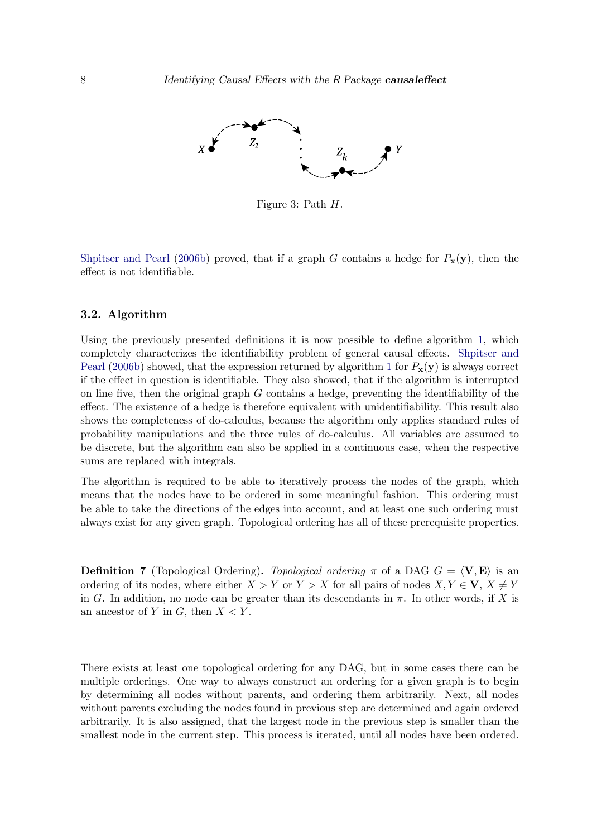<span id="page-7-0"></span>

Figure 3: Path H.

[Shpitser and Pearl](#page-24-0) [\(2006b\)](#page-24-0) proved, that if a graph G contains a hedge for  $P_x(y)$ , then the effect is not identifiable.

### <span id="page-7-1"></span>3.2. Algorithm

Using the previously presented definitions it is now possible to define algorithm [1,](#page-8-0) which completely characterizes the identifiability problem of general causal effects. [Shpitser and](#page-24-0) [Pearl](#page-24-0) [\(2006b\)](#page-24-0) showed, that the expression returned by algorithm [1](#page-8-0) for  $P_{\mathbf{x}}(\mathbf{y})$  is always correct if the effect in question is identifiable. They also showed, that if the algorithm is interrupted on line five, then the original graph G contains a hedge, preventing the identifiability of the effect. The existence of a hedge is therefore equivalent with unidentifiability. This result also shows the completeness of do-calculus, because the algorithm only applies standard rules of probability manipulations and the three rules of do-calculus. All variables are assumed to be discrete, but the algorithm can also be applied in a continuous case, when the respective sums are replaced with integrals.

The algorithm is required to be able to iteratively process the nodes of the graph, which means that the nodes have to be ordered in some meaningful fashion. This ordering must be able to take the directions of the edges into account, and at least one such ordering must always exist for any given graph. Topological ordering has all of these prerequisite properties.

**Definition 7** (Topological Ordering). Topological ordering  $\pi$  of a DAG  $G = \langle V, E \rangle$  is an ordering of its nodes, where either  $X > Y$  or  $Y > X$  for all pairs of nodes  $X, Y \in V$ ,  $X \neq Y$ in G. In addition, no node can be greater than its descendants in  $\pi$ . In other words, if X is an ancestor of Y in  $G$ , then  $X < Y$ .

There exists at least one topological ordering for any DAG, but in some cases there can be multiple orderings. One way to always construct an ordering for a given graph is to begin by determining all nodes without parents, and ordering them arbitrarily. Next, all nodes without parents excluding the nodes found in previous step are determined and again ordered arbitrarily. It is also assigned, that the largest node in the previous step is smaller than the smallest node in the current step. This process is iterated, until all nodes have been ordered.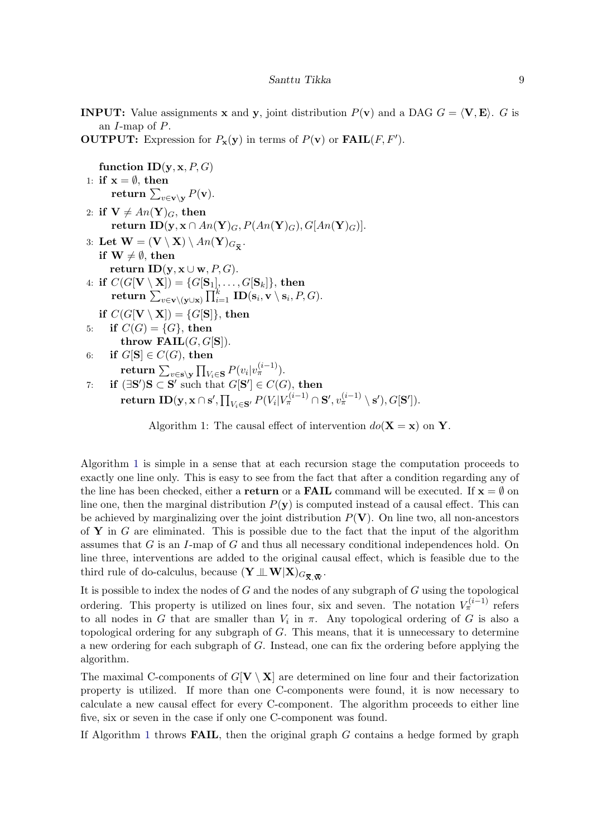<span id="page-8-0"></span>**INPUT:** Value assignments **x** and **y**, joint distribution  $P(\mathbf{v})$  and a DAG  $G = \langle \mathbf{V}, \mathbf{E} \rangle$ . G is an I-map of P.

**OUTPUT:** Expression for  $P_{\mathbf{x}}(\mathbf{y})$  in terms of  $P(\mathbf{v})$  or  $\textbf{FAIL}(F, F')$ .

function ID(y, x, P, G)  
\n1: if x = 
$$
\emptyset
$$
, then  
\nreturn  $\sum_{v \in \mathbf{v} \setminus \mathbf{y}} P(\mathbf{v})$ .  
\n2: if  $\mathbf{V} \neq An(\mathbf{Y})_G$ , then  
\nreturn ID(y, x \cap An(\mathbf{Y})\_G, P(An(\mathbf{Y})\_G), G[An(\mathbf{Y})\_G)].  
\n3: Let  $\mathbf{W} = (\mathbf{V} \setminus \mathbf{X}) \setminus An(\mathbf{Y})_{G_{\overline{\mathbf{X}}}}$ .  
\nif  $\mathbf{W} \neq \emptyset$ , then  
\nreturn ID(y, x \cup w, P, G).  
\n4: if  $C(G[\mathbf{V} \setminus \mathbf{X}]) = \{G[\mathbf{S}_1], \ldots, G[\mathbf{S}_k]\}$ , then  
\nreturn  $\sum_{v \in \mathbf{v} \setminus (\mathbf{y} \cup \mathbf{x})} \prod_{i=1}^k \mathbf{ID}(\mathbf{s}_i, \mathbf{v} \setminus \mathbf{s}_i, P, G)$ .  
\nif  $C(G[\mathbf{V} \setminus \mathbf{X}]) = \{G[\mathbf{S}]\}$ , then  
\n5: if  $C(G) = \{G\}$ , then  
\nthrow  $\text{FAIL}(G, G[\mathbf{S}])$ .  
\n6: if  $G[\mathbf{S}] \in C(G)$ , then  
\nreturn  $\sum_{v \in \mathbf{s} \setminus \mathbf{y}} \prod_{V_i \in \mathbf{S}} P(v_i|v_{\pi}^{(i-1)})$ .  
\n7: if  $(\exists \mathbf{S}')\mathbf{S} \subset \mathbf{S}'$  such that  $G[\mathbf{S}] \in C(G)$ , then  
\nreturn  $\mathbf{ID}(\mathbf{y}, \mathbf{x} \cap \mathbf{s}', \prod_{V_i \in \mathbf{S}'} P(V_i|V_{\pi}^{(i-1)} \cap \mathbf{S}', v_{\pi}^{(i-1)} \setminus \mathbf{s}'), G[\mathbf{S}']$ ).

Algorithm 1: The causal effect of intervention  $do(X = x)$  on Y.

Algorithm [1](#page-8-0) is simple in a sense that at each recursion stage the computation proceeds to exactly one line only. This is easy to see from the fact that after a condition regarding any of the line has been checked, either a **return** or a **FAIL** command will be executed. If  $\mathbf{x} = \emptyset$  on line one, then the marginal distribution  $P(y)$  is computed instead of a causal effect. This can be achieved by marginalizing over the joint distribution  $P(V)$ . On line two, all non-ancestors of Y in G are eliminated. This is possible due to the fact that the input of the algorithm assumes that G is an I-map of G and thus all necessary conditional independences hold. On line three, interventions are added to the original causal effect, which is feasible due to the third rule of do-calculus, because  $(\mathbf{Y} \perp\!\!\!\perp \mathbf{W}|\mathbf{X})_{G_{\overline{\mathbf{X}},\overline{\mathbf{W}}}}$ .

It is possible to index the nodes of  $G$  and the nodes of any subgraph of  $G$  using the topological ordering. This property is utilized on lines four, six and seven. The notation  $V_{\pi}^{(i-1)}$  refers to all nodes in G that are smaller than  $V_i$  in  $\pi$ . Any topological ordering of G is also a topological ordering for any subgraph of  $G$ . This means, that it is unnecessary to determine a new ordering for each subgraph of G. Instead, one can fix the ordering before applying the algorithm.

The maximal C-components of  $G[V \setminus X]$  are determined on line four and their factorization property is utilized. If more than one C-components were found, it is now necessary to calculate a new causal effect for every C-component. The algorithm proceeds to either line five, six or seven in the case if only one C-component was found.

If Algorithm [1](#page-8-0) throws **FAIL**, then the original graph  $G$  contains a hedge formed by graph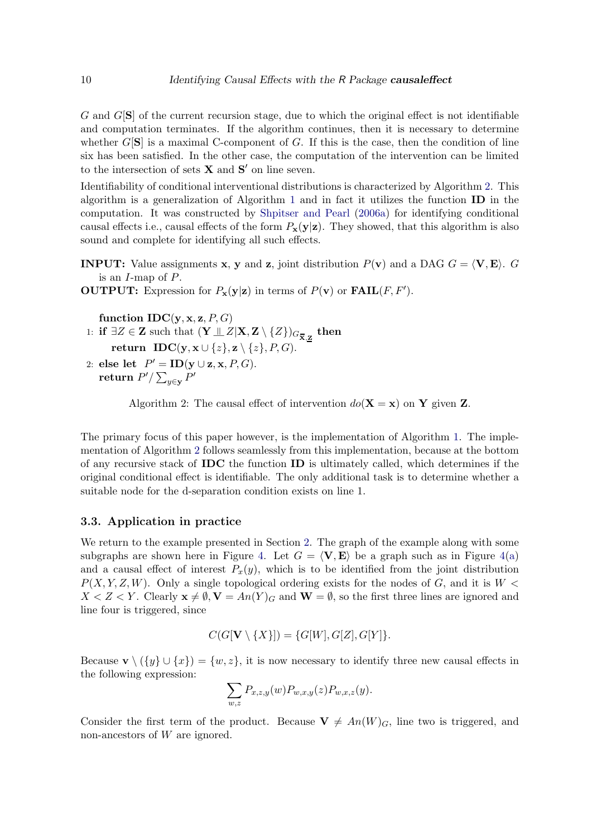$G$  and  $G[S]$  of the current recursion stage, due to which the original effect is not identifiable and computation terminates. If the algorithm continues, then it is necessary to determine whether  $G[S]$  is a maximal C-component of G. If this is the case, then the condition of line six has been satisfied. In the other case, the computation of the intervention can be limited to the intersection of sets  $X$  and  $S'$  on line seven.

Identifiability of conditional interventional distributions is characterized by Algorithm [2.](#page-9-1) This algorithm is a generalization of Algorithm [1](#page-8-0) and in fact it utilizes the function ID in the computation. It was constructed by [Shpitser and Pearl](#page-24-11) [\(2006a\)](#page-24-11) for identifying conditional causal effects i.e., causal effects of the form  $P_x(y|z)$ . They showed, that this algorithm is also sound and complete for identifying all such effects.

<span id="page-9-1"></span>**INPUT:** Value assignments **x**, **y** and **z**, joint distribution  $P(\mathbf{v})$  and a DAG  $G = \langle \mathbf{V}, \mathbf{E} \rangle$ . G is an I-map of P.

**OUTPUT:** Expression for  $P_{\mathbf{x}}(\mathbf{y}|\mathbf{z})$  in terms of  $P(\mathbf{v})$  or  $\textbf{FAIL}(F, F')$ .

function  $IDC(y, x, z, P, G)$ 1: if  $\exists Z \in \mathbf{Z}$  such that  $(\mathbf{Y} \perp\!\!\!\perp Z | \mathbf{X}, \mathbf{Z} \setminus \{Z\})_{G_{\overline{\mathbf{X}}, \mathbf{Z}}}$  then return IDC(y, x ∪ {z}, z \ {z}, P, G). 2: else let  $P' = ID(y \cup z, x, P, G)$ .

return  $P' / \sum_{y \in \mathbf{y}} P'$ 

Algorithm 2: The causal effect of intervention  $do(X = x)$  on Y given Z.

The primary focus of this paper however, is the implementation of Algorithm [1.](#page-8-0) The implementation of Algorithm [2](#page-9-1) follows seamlessly from this implementation, because at the bottom of any recursive stack of IDC the function ID is ultimately called, which determines if the original conditional effect is identifiable. The only additional task is to determine whether a suitable node for the d-separation condition exists on line 1.

### <span id="page-9-0"></span>3.3. Application in practice

We return to the example presented in Section [2.](#page-3-0) The graph of the example along with some subgraphs are shown here in Figure [4.](#page-10-0) Let  $G = \langle V, E \rangle$  be a graph such as in Figure [4\(a\)](#page-10-0) and a causal effect of interest  $P_x(y)$ , which is to be identified from the joint distribution  $P(X, Y, Z, W)$ . Only a single topological ordering exists for the nodes of G, and it is W  $X < Z < Y$ . Clearly  $\mathbf{x} \neq \emptyset$ ,  $\mathbf{V} = An(Y)_{G}$  and  $\mathbf{W} = \emptyset$ , so the first three lines are ignored and line four is triggered, since

$$
C(G[\mathbf{V}\setminus\{X\}])=\{G[W],G[Z],G[Y]\}.
$$

Because  $\mathbf{v} \setminus (\{y\} \cup \{x\}) = \{w, z\},\$ it is now necessary to identify three new causal effects in the following expression:

$$
\sum_{w,z} P_{x,z,y}(w) P_{w,x,y}(z) P_{w,x,z}(y).
$$

Consider the first term of the product. Because  $V \neq An(W)<sub>G</sub>$ , line two is triggered, and non-ancestors of W are ignored.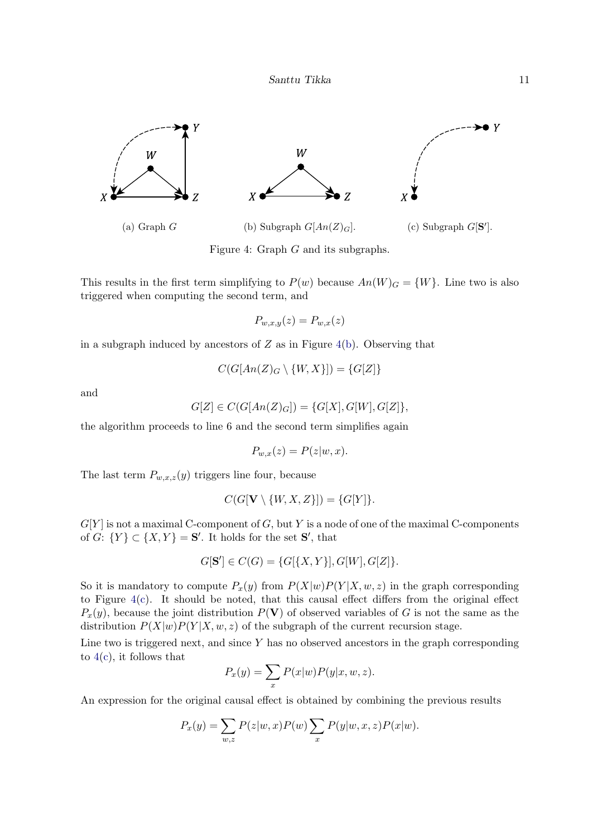<span id="page-10-0"></span>

Figure 4: Graph G and its subgraphs.

This results in the first term simplifying to  $P(w)$  because  $An(W)<sub>G</sub> = \{W\}$ . Line two is also triggered when computing the second term, and

$$
P_{w,x,y}(z) = P_{w,x}(z)
$$

in a subgraph induced by ancestors of  $Z$  as in Figure [4\(b\)](#page-10-0). Observing that

$$
C(G[An(Z)_G \setminus \{W, X\}]) = \{G[Z]\}
$$

and

$$
G[Z] \in C(G[An(Z)_{G}]) = \{G[X], G[W], G[Z]\},\
$$

the algorithm proceeds to line 6 and the second term simplifies again

$$
P_{w,x}(z) = P(z|w, x).
$$

The last term  $P_{w,x,z}(y)$  triggers line four, because

$$
C(G[\mathbf{V}\setminus\{W,X,Z\}])=\{G[Y]\}.
$$

 $G[Y]$  is not a maximal C-component of  $G$ , but Y is a node of one of the maximal C-components of G:  $\{Y\} \subset \{X, Y\} = \mathbf{S}'$ . It holds for the set  $\mathbf{S}'$ , that

$$
G[\mathbf{S'}] \in C(G) = \{G[\{X, Y\}], G[W], G[Z]\}.
$$

So it is mandatory to compute  $P_x(y)$  from  $P(X|w)P(Y|X, w, z)$  in the graph corresponding to Figure [4\(c\)](#page-10-0). It should be noted, that this causal effect differs from the original effect  $P_x(y)$ , because the joint distribution  $P(\mathbf{V})$  of observed variables of G is not the same as the distribution  $P(X|w)P(Y|X, w, z)$  of the subgraph of the current recursion stage.

Line two is triggered next, and since  $Y$  has no observed ancestors in the graph corresponding to  $4(c)$ , it follows that

$$
P_x(y) = \sum_x P(x|w)P(y|x, w, z).
$$

An expression for the original causal effect is obtained by combining the previous results

$$
P_x(y) = \sum_{w,z} P(z|w,x)P(w) \sum_x P(y|w,x,z)P(x|w).
$$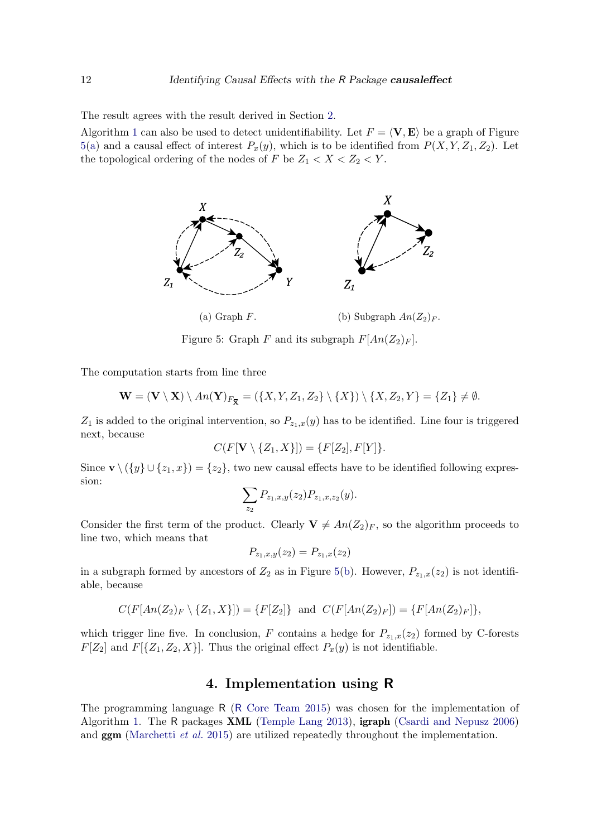The result agrees with the result derived in Section [2.](#page-3-0)

<span id="page-11-1"></span>Algorithm [1](#page-8-0) can also be used to detect unidentifiability. Let  $F = \langle \mathbf{V}, \mathbf{E} \rangle$  be a graph of Figure [5\(a\)](#page-11-1) and a causal effect of interest  $P_x(y)$ , which is to be identified from  $P(X, Y, Z_1, Z_2)$ . Let the topological ordering of the nodes of F be  $Z_1 < X < Z_2 < Y$ .



Figure 5: Graph F and its subgraph  $F[An(Z_2)_F]$ .

The computation starts from line three

$$
\mathbf{W} = (\mathbf{V} \setminus \mathbf{X}) \setminus An(\mathbf{Y})_{F_{\overline{\mathbf{X}}}} = (\{X, Y, Z_1, Z_2\} \setminus \{X\}) \setminus \{X, Z_2, Y\} = \{Z_1\} \neq \emptyset.
$$

 $Z_1$  is added to the original intervention, so  $P_{z_1,x}(y)$  has to be identified. Line four is triggered next, because

$$
C(F[\mathbf{V} \setminus \{Z_1, X\}]) = \{F[Z_2], F[Y]\}.
$$

Since  $\mathbf{v} \setminus (\{y\} \cup \{z_1, x\}) = \{z_2\}$ , two new causal effects have to be identified following expression:

$$
\sum_{z_2} P_{z_1,x,y}(z_2) P_{z_1,x,z_2}(y).
$$

Consider the first term of the product. Clearly  $\mathbf{V} \neq An(Z_2)_F$ , so the algorithm proceeds to line two, which means that

$$
P_{z_1,x,y}(z_2) = P_{z_1,x}(z_2)
$$

in a subgraph formed by ancestors of  $Z_2$  as in Figure [5\(b\)](#page-11-1). However,  $P_{z_1,x}(z_2)$  is not identifiable, because

$$
C(F[An(Z_2)_F \setminus \{Z_1, X\}]) = \{F[Z_2]\} \text{ and } C(F[An(Z_2)_F]) = \{F[An(Z_2)_F]\},
$$

which trigger line five. In conclusion, F contains a hedge for  $P_{z_1,x}(z_2)$  formed by C-forests  $F[Z_2]$  and  $F[\{Z_1, Z_2, X\}].$  Thus the original effect  $P_x(y)$  is not identifiable.

# 4. Implementation using R

<span id="page-11-0"></span>The programming language R (R [Core Team](#page-24-12) [2015\)](#page-24-12) was chosen for the implementation of Algorithm [1.](#page-8-0) The R packages XML [\(Temple Lang](#page-25-6) [2013\)](#page-25-6), igraph [\(Csardi and Nepusz](#page-23-10) [2006\)](#page-23-10) and **ggm** [\(Marchetti](#page-24-13) *et al.* [2015\)](#page-24-13) are utilized repeatedly throughout the implementation.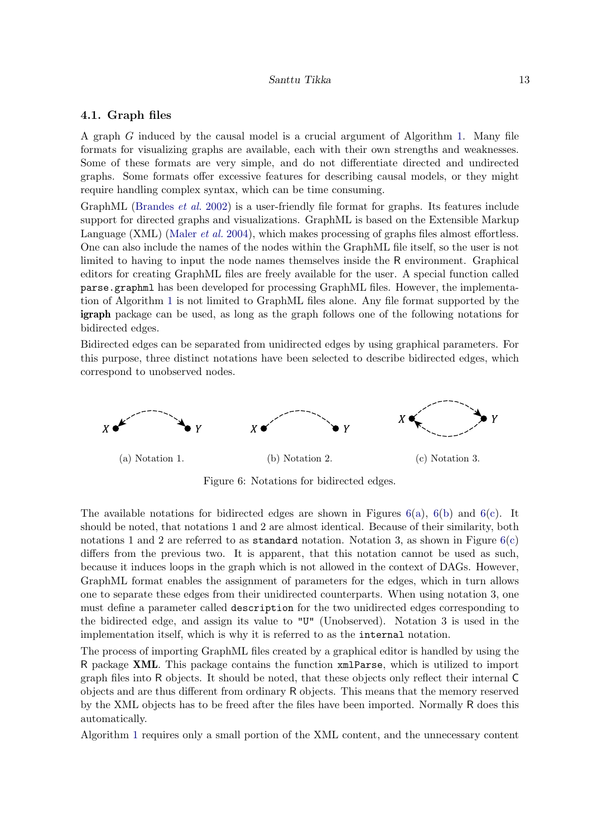#### Santtu Tikka 13

#### <span id="page-12-1"></span>4.1. Graph files

A graph G induced by the causal model is a crucial argument of Algorithm [1.](#page-8-0) Many file formats for visualizing graphs are available, each with their own strengths and weaknesses. Some of these formats are very simple, and do not differentiate directed and undirected graphs. Some formats offer excessive features for describing causal models, or they might require handling complex syntax, which can be time consuming.

GraphML [\(Brandes](#page-22-3) et al. [2002\)](#page-22-3) is a user-friendly file format for graphs. Its features include support for directed graphs and visualizations. GraphML is based on the Extensible Markup Language (XML) [\(Maler](#page-23-11) et al. [2004\)](#page-23-11), which makes processing of graphs files almost effortless. One can also include the names of the nodes within the GraphML file itself, so the user is not limited to having to input the node names themselves inside the R environment. Graphical editors for creating GraphML files are freely available for the user. A special function called parse.graphml has been developed for processing GraphML files. However, the implementation of Algorithm [1](#page-8-0) is not limited to GraphML files alone. Any file format supported by the igraph package can be used, as long as the graph follows one of the following notations for bidirected edges.

Bidirected edges can be separated from unidirected edges by using graphical parameters. For this purpose, three distinct notations have been selected to describe bidirected edges, which correspond to unobserved nodes.

<span id="page-12-0"></span>

Figure 6: Notations for bidirected edges.

The available notations for bidirected edges are shown in Figures  $6(a)$ ,  $6(b)$  and  $6(c)$ . It should be noted, that notations 1 and 2 are almost identical. Because of their similarity, both notations 1 and 2 are referred to as standard notation. Notation 3, as shown in Figure  $6(c)$ differs from the previous two. It is apparent, that this notation cannot be used as such, because it induces loops in the graph which is not allowed in the context of DAGs. However, GraphML format enables the assignment of parameters for the edges, which in turn allows one to separate these edges from their unidirected counterparts. When using notation 3, one must define a parameter called description for the two unidirected edges corresponding to the bidirected edge, and assign its value to "U" (Unobserved). Notation 3 is used in the implementation itself, which is why it is referred to as the internal notation.

The process of importing GraphML files created by a graphical editor is handled by using the R package XML. This package contains the function xmlParse, which is utilized to import graph files into R objects. It should be noted, that these objects only reflect their internal C objects and are thus different from ordinary R objects. This means that the memory reserved by the XML objects has to be freed after the files have been imported. Normally R does this automatically.

Algorithm [1](#page-8-0) requires only a small portion of the XML content, and the unnecessary content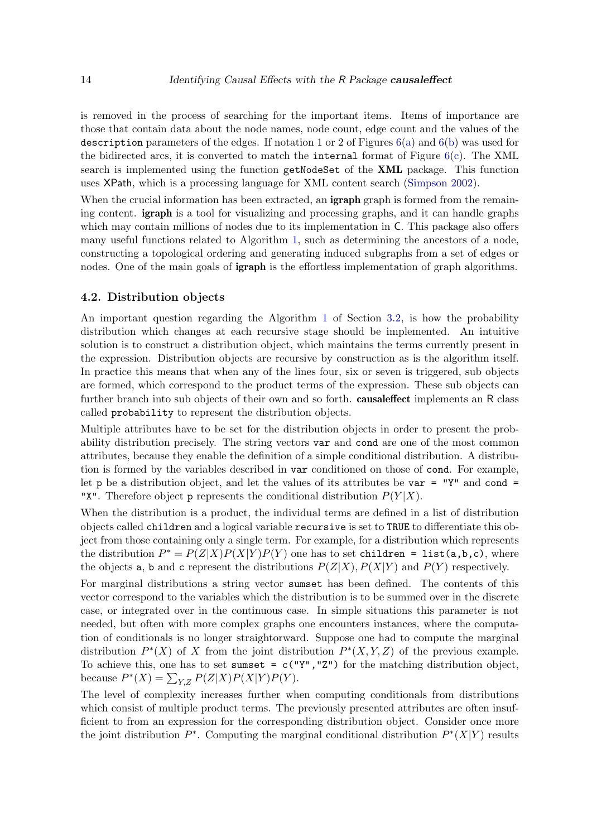is removed in the process of searching for the important items. Items of importance are those that contain data about the node names, node count, edge count and the values of the description parameters of the edges. If notation 1 or 2 of Figures  $6(a)$  and  $6(b)$  was used for the bidirected arcs, it is converted to match the internal format of Figure  $6(c)$ . The XML search is implemented using the function getNodeSet of the XML package. This function uses XPath, which is a processing language for XML content search [\(Simpson](#page-24-14) [2002\)](#page-24-14).

When the crucial information has been extracted, an **igraph** graph is formed from the remaining content. igraph is a tool for visualizing and processing graphs, and it can handle graphs which may contain millions of nodes due to its implementation in C. This package also offers many useful functions related to Algorithm [1,](#page-8-0) such as determining the ancestors of a node, constructing a topological ordering and generating induced subgraphs from a set of edges or nodes. One of the main goals of **igraph** is the effortless implementation of graph algorithms.

### 4.2. Distribution objects

An important question regarding the Algorithm [1](#page-8-0) of Section [3.2,](#page-7-1) is how the probability distribution which changes at each recursive stage should be implemented. An intuitive solution is to construct a distribution object, which maintains the terms currently present in the expression. Distribution objects are recursive by construction as is the algorithm itself. In practice this means that when any of the lines four, six or seven is triggered, sub objects are formed, which correspond to the product terms of the expression. These sub objects can further branch into sub objects of their own and so forth. **causaleffect** implements an R class called probability to represent the distribution objects.

Multiple attributes have to be set for the distribution objects in order to present the probability distribution precisely. The string vectors var and cond are one of the most common attributes, because they enable the definition of a simple conditional distribution. A distribution is formed by the variables described in var conditioned on those of cond. For example, let  $p$  be a distribution object, and let the values of its attributes be  $var = "Y"$  and  $cond =$ "X". Therefore object p represents the conditional distribution  $P(Y|X)$ .

When the distribution is a product, the individual terms are defined in a list of distribution objects called children and a logical variable recursive is set to TRUE to differentiate this object from those containing only a single term. For example, for a distribution which represents the distribution  $P^* = P(Z|X)P(X|Y)P(Y)$  one has to set children = list(a,b,c), where the objects a, b and c represent the distributions  $P(Z|X), P(X|Y)$  and  $P(Y)$  respectively.

For marginal distributions a string vector sumset has been defined. The contents of this vector correspond to the variables which the distribution is to be summed over in the discrete case, or integrated over in the continuous case. In simple situations this parameter is not needed, but often with more complex graphs one encounters instances, where the computation of conditionals is no longer straightorward. Suppose one had to compute the marginal distribution  $P^*(X)$  of X from the joint distribution  $P^*(X, Y, Z)$  of the previous example. To achieve this, one has to set sumset =  $c("Y", "Z")$  for the matching distribution object, because  $P^*(X) = \sum_{Y,Z} P(Z|X)P(X|Y)P(Y)$ .

The level of complexity increases further when computing conditionals from distributions which consist of multiple product terms. The previously presented attributes are often insufficient to from an expression for the corresponding distribution object. Consider once more the joint distribution  $P^*$ . Computing the marginal conditional distribution  $P^*(X|Y)$  results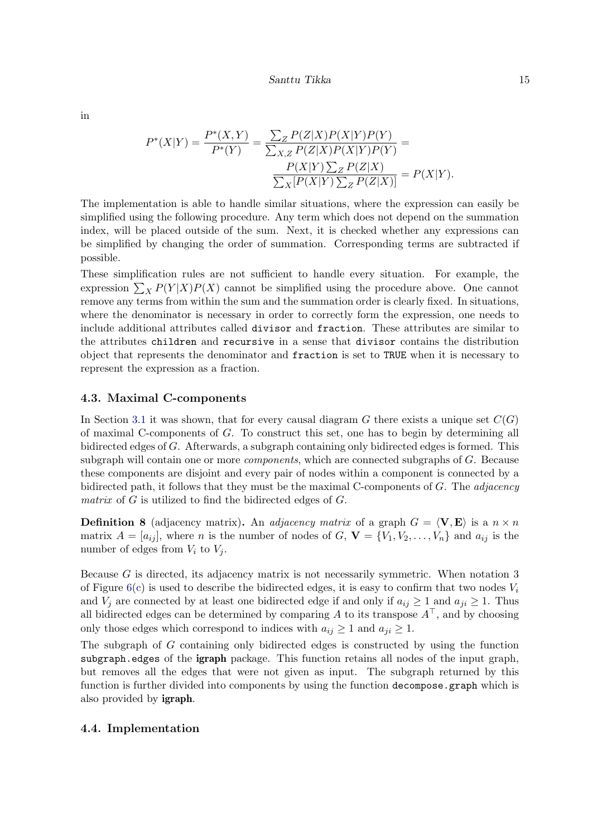in

$$
P^*(X|Y) = \frac{P^*(X,Y)}{P^*(Y)} = \frac{\sum_{Z} P(Z|X)P(X|Y)P(Y)}{\sum_{X,Z} P(Z|X)P(X|Y)P(Y)} =
$$
  

$$
\frac{P(X|Y)\sum_{Z} P(Z|X)}{\sum_{X} [P(X|Y)\sum_{Z} P(Z|X)]} = P(X|Y).
$$

The implementation is able to handle similar situations, where the expression can easily be simplified using the following procedure. Any term which does not depend on the summation index, will be placed outside of the sum. Next, it is checked whether any expressions can be simplified by changing the order of summation. Corresponding terms are subtracted if possible.

These simplification rules are not sufficient to handle every situation. For example, the expression  $\sum_{X} P(Y|X)P(X)$  cannot be simplified using the procedure above. One cannot remove any terms from within the sum and the summation order is clearly fixed. In situations, where the denominator is necessary in order to correctly form the expression, one needs to include additional attributes called divisor and fraction. These attributes are similar to the attributes children and recursive in a sense that divisor contains the distribution object that represents the denominator and fraction is set to TRUE when it is necessary to represent the expression as a fraction.

#### 4.3. Maximal C-components

In Section [3.1](#page-5-1) it was shown, that for every causal diagram G there exists a unique set  $C(G)$ of maximal C-components of G. To construct this set, one has to begin by determining all bidirected edges of G. Afterwards, a subgraph containing only bidirected edges is formed. This subgraph will contain one or more *components*, which are connected subgraphs of G. Because these components are disjoint and every pair of nodes within a component is connected by a bidirected path, it follows that they must be the maximal C-components of  $G$ . The *adjacency* matrix of  $G$  is utilized to find the bidirected edges of  $G$ .

**Definition 8** (adjacency matrix). An *adjacency matrix* of a graph  $G = \langle V, E \rangle$  is a  $n \times n$ matrix  $A = [a_{ij}]$ , where n is the number of nodes of  $G, V = \{V_1, V_2, \ldots, V_n\}$  and  $a_{ij}$  is the number of edges from  $V_i$  to  $V_j$ .

Because  $G$  is directed, its adjacency matrix is not necessarily symmetric. When notation 3 of Figure  $6(c)$  is used to describe the bidirected edges, it is easy to confirm that two nodes  $V_i$ and  $V_j$  are connected by at least one bidirected edge if and only if  $a_{ij} \geq 1$  and  $a_{ji} \geq 1$ . Thus all bidirected edges can be determined by comparing A to its transpose  $A^{\top}$ , and by choosing only those edges which correspond to indices with  $a_{ij} \geq 1$  and  $a_{ji} \geq 1$ .

The subgraph of G containing only bidirected edges is constructed by using the function subgraph.edges of the igraph package. This function retains all nodes of the input graph, but removes all the edges that were not given as input. The subgraph returned by this function is further divided into components by using the function decompose.graph which is also provided by igraph.

#### 4.4. Implementation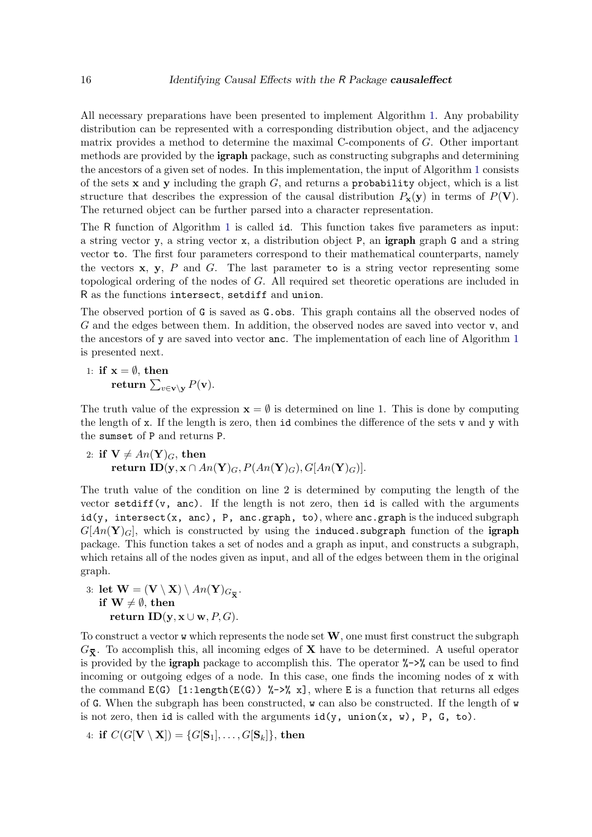All necessary preparations have been presented to implement Algorithm [1.](#page-8-0) Any probability distribution can be represented with a corresponding distribution object, and the adjacency matrix provides a method to determine the maximal C-components of G. Other important methods are provided by the igraph package, such as constructing subgraphs and determining the ancestors of a given set of nodes. In this implementation, the input of Algorithm [1](#page-8-0) consists of the sets  $x$  and  $y$  including the graph  $G$ , and returns a probability object, which is a list structure that describes the expression of the causal distribution  $P_{\mathbf{x}}(\mathbf{y})$  in terms of  $P(\mathbf{V})$ . The returned object can be further parsed into a character representation.

The R function of Algorithm [1](#page-8-0) is called id. This function takes five parameters as input: a string vector y, a string vector x, a distribution object P, an igraph graph G and a string vector to. The first four parameters correspond to their mathematical counterparts, namely the vectors  $x, y, P$  and  $G$ . The last parameter to is a string vector representing some topological ordering of the nodes of G. All required set theoretic operations are included in R as the functions intersect, setdiff and union.

The observed portion of G is saved as G.obs. This graph contains all the observed nodes of G and the edges between them. In addition, the observed nodes are saved into vector v, and the ancestors of y are saved into vector anc. The implementation of each line of Algorithm [1](#page-8-0) is presented next.

1: if 
$$
\mathbf{x} = \emptyset
$$
, then  
return  $\sum_{v \in \mathbf{v} \setminus \mathbf{y}} P(\mathbf{v})$ .

The truth value of the expression  $\mathbf{x} = \emptyset$  is determined on line 1. This is done by computing the length of x. If the length is zero, then id combines the difference of the sets v and y with the sumset of P and returns P.

2: if 
$$
V \neq An(Y)_{G}
$$
, then  
return  $ID(y, x \cap An(Y)_{G}, P(An(Y)_{G}), G[An(Y)_{G})]$ .

The truth value of the condition on line 2 is determined by computing the length of the vector setdiff( $v$ , anc). If the length is not zero, then id is called with the arguments id(y, intersect(x, anc), P, anc.graph, to), where anc.graph is the induced subgraph  $G[An(\mathbf{Y})_G]$ , which is constructed by using the induced.subgraph function of the igraph package. This function takes a set of nodes and a graph as input, and constructs a subgraph, which retains all of the nodes given as input, and all of the edges between them in the original graph.

3: let  $\mathbf{W} = (\mathbf{V} \setminus \mathbf{X}) \setminus An(\mathbf{Y})_{G_{\overline{\mathbf{X}}}}.$ if  $W \neq \emptyset$ , then return ID(y,  $x \cup w$ , P, G).

To construct a vector **w** which represents the node set  $W$ , one must first construct the subgraph  $G_{\mathbf{\bar{X}}}$ . To accomplish this, all incoming edges of **X** have to be determined. A useful operator is provided by the **igraph** package to accomplish this. The operator  $\frac{1}{6}$ - $\frac{1}{6}$  can be used to find incoming or outgoing edges of a node. In this case, one finds the incoming nodes of x with the command  $E(G)$  [1:length( $E(G)$ ) %->% x], where E is a function that returns all edges of G. When the subgraph has been constructed, w can also be constructed. If the length of w is not zero, then id is called with the arguments  $id(y, union(x, w), P, G, to)$ .

4: if  $C(G[\mathbf{V} \setminus \mathbf{X}]) = \{G[\mathbf{S}_1], \ldots, G[\mathbf{S}_k]\},\$  then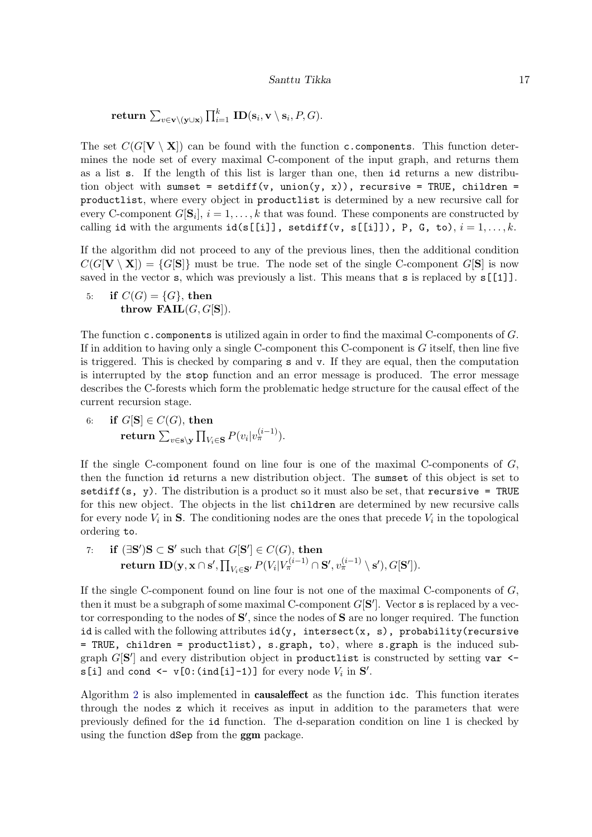**return** 
$$
\sum_{v \in \mathbf{v} \setminus (\mathbf{y} \cup \mathbf{x})} \prod_{i=1}^k \mathbf{ID}(\mathbf{s}_i, \mathbf{v} \setminus \mathbf{s}_i, P, G).
$$

The set  $C(G[V \setminus X])$  can be found with the function c.components. This function determines the node set of every maximal C-component of the input graph, and returns them as a list s. If the length of this list is larger than one, then id returns a new distribution object with sumset = setdiff(v, union(y, x)), recursive = TRUE, children = productlist, where every object in productlist is determined by a new recursive call for every C-component  $G[\mathbf{S}_i], i = 1, \ldots, k$  that was found. These components are constructed by calling id with the arguments  $id(s[[i]], setdiff(v, s[[i]]), P, G, to), i = 1, ..., k$ .

If the algorithm did not proceed to any of the previous lines, then the additional condition  $C(G[\mathbf{V} \setminus \mathbf{X}]) = \{G[\mathbf{S}]\}\$  must be true. The node set of the single C-component  $G[\mathbf{S}]$  is now saved in the vector s, which was previously a list. This means that s is replaced by  $s[[1]]$ .

5: if 
$$
C(G) = \{G\}
$$
, then  
throw  $FAIL(G, G[S])$ .

The function c.components is utilized again in order to find the maximal C-components of G. If in addition to having only a single C-component this C-component is  $G$  itself, then line five is triggered. This is checked by comparing s and v. If they are equal, then the computation is interrupted by the stop function and an error message is produced. The error message describes the C-forests which form the problematic hedge structure for the causal effect of the current recursion stage.

6: if 
$$
G[\mathbf{S}] \in C(G)
$$
, then  
return  $\sum_{v \in \mathbf{s} \setminus \mathbf{y}} \prod_{V_i \in \mathbf{S}} P(v_i|v_{\pi}^{(i-1)})$ .

If the single C-component found on line four is one of the maximal C-components of  $G$ , then the function id returns a new distribution object. The sumset of this object is set to setdiff(s, y). The distribution is a product so it must also be set, that recursive = TRUE for this new object. The objects in the list children are determined by new recursive calls for every node  $V_i$  in **S**. The conditioning nodes are the ones that precede  $V_i$  in the topological ordering to.

7: **if** 
$$
(\exists S')S \subset S'
$$
 such that  $G[S'] \in C(G)$ , **then**  
**return**  $\mathbf{ID}(\mathbf{y}, \mathbf{x} \cap \mathbf{s}', \prod_{V_i \in S'} P(V_i | V_{\pi}^{(i-1)} \cap S', v_{\pi}^{(i-1)} \setminus \mathbf{s}'), G[S'])$ .

If the single C-component found on line four is not one of the maximal C-components of  $G$ , then it must be a subgraph of some maximal C-component  $G[S']$ . Vector s is replaced by a vector corresponding to the nodes of  $S'$ , since the nodes of  $S$  are no longer required. The function id is called with the following attributes  $id(y, interset(x, s), probability(recursive$ = TRUE, children = productlist), s.graph, to), where s.graph is the induced subgraph  $G[S']$  and every distribution object in productlist is constructed by setting var  $\leq$  $s[i]$  and cond  $\leftarrow v[0:(ind[i]-1)]$  for every node  $V_i$  in  $S'.$ 

Algorithm [2](#page-9-1) is also implemented in causaleffect as the function idc. This function iterates through the nodes z which it receives as input in addition to the parameters that were previously defined for the id function. The d-separation condition on line 1 is checked by using the function dSep from the ggm package.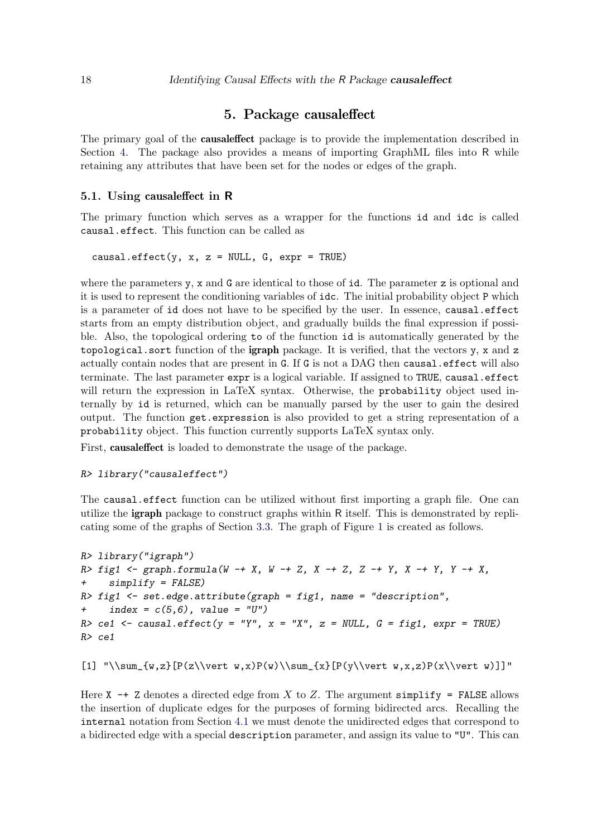### 5. Package causaleffect

<span id="page-17-0"></span>The primary goal of the **causaleffect** package is to provide the implementation described in Section [4.](#page-11-0) The package also provides a means of importing GraphML files into R while retaining any attributes that have been set for the nodes or edges of the graph.

#### 5.1. Using causaleffect in R

The primary function which serves as a wrapper for the functions id and idc is called causal.effect. This function can be called as

```
causal.effect(y, x, z = NULL, G, expr = TRUE)
```
where the parameters y, x and G are identical to those of id. The parameter z is optional and it is used to represent the conditioning variables of idc. The initial probability object P which is a parameter of id does not have to be specified by the user. In essence, causal.effect starts from an empty distribution object, and gradually builds the final expression if possible. Also, the topological ordering to of the function id is automatically generated by the topological.sort function of the igraph package. It is verified, that the vectors y, x and z actually contain nodes that are present in G. If G is not a DAG then causal.effect will also terminate. The last parameter  $\exp r$  is a logical variable. If assigned to TRUE, causal.effect will return the expression in LaTeX syntax. Otherwise, the probability object used internally by id is returned, which can be manually parsed by the user to gain the desired output. The function get.expression is also provided to get a string representation of a probability object. This function currently supports LaTeX syntax only.

First, causaleffect is loaded to demonstrate the usage of the package.

```
R> library("causaleffect")
```
The causal.effect function can be utilized without first importing a graph file. One can utilize the igraph package to construct graphs within R itself. This is demonstrated by replicating some of the graphs of Section [3.3.](#page-9-0) The graph of Figure [1](#page-3-1) is created as follows.

```
R> library("igraph")
R> fig1 <- graph.formula(W -+ X, W -+ Z, X -+ Z, Z -+ Y, X -+ Y, Y -+ X,
+ simplify = FALSE)
R> fig1 <- set.edge.attribute(graph = fig1, name = "description",
+ index = c(5,6), value = "U")
R> ce1 <- causal.effect(y = "Y", x = "X", z = NULL, G = fig1, expr = TRUE)
R> ce1
```

```
[1] "\\sum_{w,z}[P(z\\vert w,x)P(w)\\sum_{x}[P(y\\vert w,x,z)P(x\\vert w)]]"
```
Here  $X \rightarrow Z$  denotes a directed edge from X to Z. The argument simplify = FALSE allows the insertion of duplicate edges for the purposes of forming bidirected arcs. Recalling the internal notation from Section [4.1](#page-12-1) we must denote the unidirected edges that correspond to a bidirected edge with a special description parameter, and assign its value to "U". This can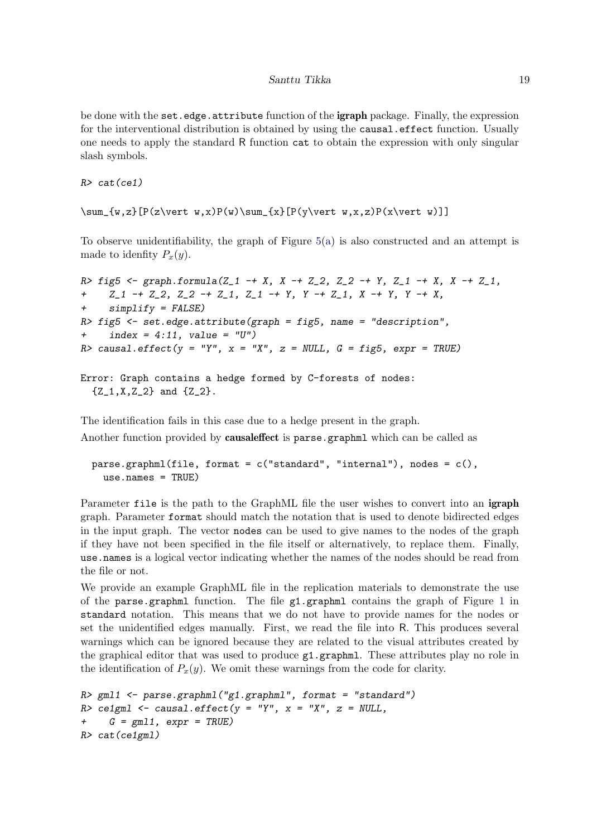be done with the set.edge.attribute function of the igraph package. Finally, the expression for the interventional distribution is obtained by using the causal.effect function. Usually one needs to apply the standard R function cat to obtain the expression with only singular slash symbols.

 $R > cat(cel)$ 

```
\sum_{w,z}[P(z\vert w,x)P(w)\sum_{x}[P(y\vert w,x,z)P(x\vert w))]
```
To observe unidentifiability, the graph of Figure [5\(a\)](#page-11-1) is also constructed and an attempt is made to idenfity  $P_x(y)$ .

```
R> fig5 <- graph.formula(Z_1 -+ X, X -+ Z_2, Z_2 -+ Y, Z_1 -+ X, X -+ Z_1,
    Z_1 -+ Z_2, Z_2 -+ Z_1, Z_1 -+ Y, Y -+ Z_1, X -+ Y, Y -+ X,
+ simplify = FALSE)
R> fig5 <- set.edge.attribute(graph = fig5, name = "description",
+ index = 4:11, value = "U")R> causal.effect(y = "Y", x = "X", z = NULL, G = fig5, expr = TRUE)
```

```
Error: Graph contains a hedge formed by C-forests of nodes:
  {Z_1, X, Z_2} and {Z_2}.
```
The identification fails in this case due to a hedge present in the graph. Another function provided by **causaleffect** is parse.graphml which can be called as

```
parse.graphml(file, format = c("standard", "internal"), nodes = c(),use.names = TRUE)
```
Parameter file is the path to the GraphML file the user wishes to convert into an igraph graph. Parameter format should match the notation that is used to denote bidirected edges in the input graph. The vector nodes can be used to give names to the nodes of the graph if they have not been specified in the file itself or alternatively, to replace them. Finally, use.names is a logical vector indicating whether the names of the nodes should be read from the file or not.

We provide an example GraphML file in the replication materials to demonstrate the use of the parse.graphml function. The file g1.graphml contains the graph of Figure [1](#page-3-1) in standard notation. This means that we do not have to provide names for the nodes or set the unidentified edges manually. First, we read the file into R. This produces several warnings which can be ignored because they are related to the visual attributes created by the graphical editor that was used to produce g1.graphml. These attributes play no role in the identification of  $P_x(y)$ . We omit these warnings from the code for clarity.

```
R> gml1 <- parse.graphml("g1.graphml", format = "standard")
R> ce1gml <- causal.effect(y = "Y", x = "X", z = NULL,G = gm11, expr = TRUE)
R> cat(ce1gml)
```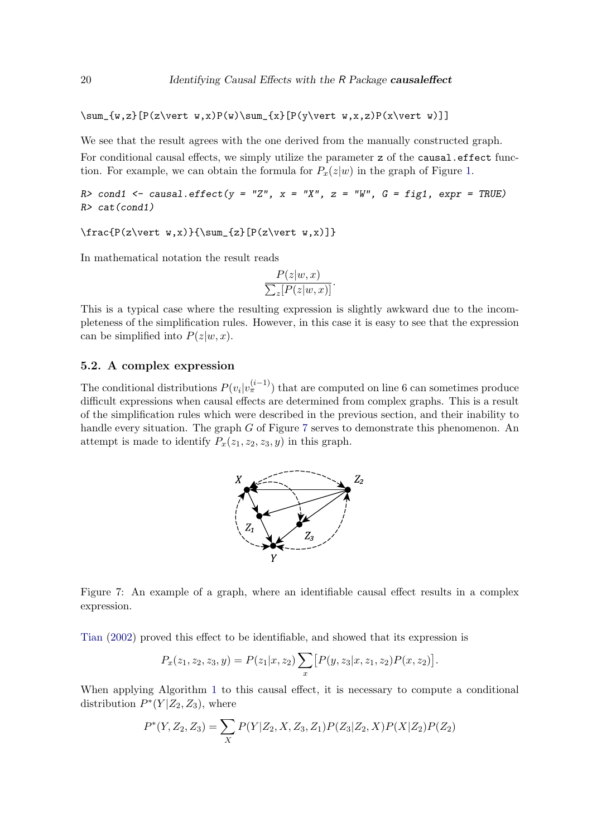$\sum_{w,z}[P(z\vert w,x)P(w)\sum_{x}[P(y\vert w,x,z)P(x\vert w))]$ 

We see that the result agrees with the one derived from the manually constructed graph. For conditional causal effects, we simply utilize the parameter z of the causal.effect function. For example, we can obtain the formula for  $P_x(z|w)$  in the graph of Figure [1.](#page-3-1)

 $R$ > cond1 <- causal.effect(y = "Z", x = "X", z = "W", G = fig1, expr = TRUE) R> cat(cond1)

 $\frac{P(z\vert w,x)}{\sum_{z}[P(z\vert w,x)]}$ 

In mathematical notation the result reads

$$
\frac{P(z|w,x)}{\sum_z [P(z|w,x)]}.
$$

This is a typical case where the resulting expression is slightly awkward due to the incompleteness of the simplification rules. However, in this case it is easy to see that the expression can be simplified into  $P(z|w, x)$ .

### 5.2. A complex expression

<span id="page-19-0"></span>The conditional distributions  $P(v_i|v_{\pi}^{(i-1)})$  that are computed on line 6 can sometimes produce difficult expressions when causal effects are determined from complex graphs. This is a result of the simplification rules which were described in the previous section, and their inability to handle every situation. The graph G of Figure [7](#page-19-0) serves to demonstrate this phenomenon. An attempt is made to identify  $P_x(z_1, z_2, z_3, y)$  in this graph.



Figure 7: An example of a graph, where an identifiable causal effect results in a complex expression.

[Tian](#page-25-4) [\(2002\)](#page-25-4) proved this effect to be identifiable, and showed that its expression is

$$
P_x(z_1, z_2, z_3, y) = P(z_1|x, z_2) \sum_x [P(y, z_3|x, z_1, z_2) P(x, z_2)].
$$

When applying Algorithm [1](#page-8-0) to this causal effect, it is necessary to compute a conditional distribution  $P^*(Y|Z_2, Z_3)$ , where

$$
P^*(Y, Z_2, Z_3) = \sum_X P(Y|Z_2, X, Z_3, Z_1) P(Z_3|Z_2, X) P(X|Z_2) P(Z_2)
$$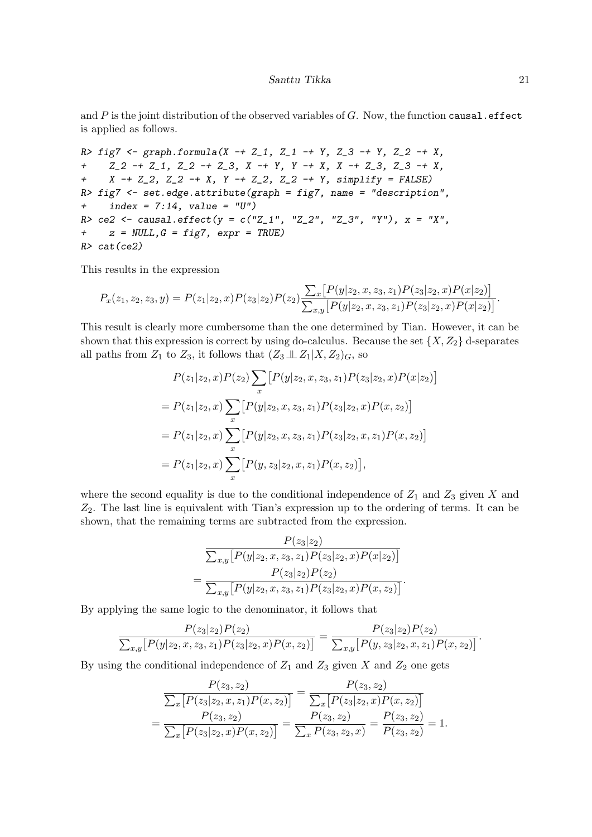and  $P$  is the joint distribution of the observed variables of  $G$ . Now, the function causal.effect is applied as follows.

 $R$ > fig7 <- graph.formula(X -+ Z\_1, Z\_1 -+ Y, Z\_3 -+ Y, Z\_2 -+ X,  $Z_2$  -+  $Z_1$ ,  $Z_2$  -+  $Z_3$ ,  $X$  -+  $Y$ ,  $Y$  -+  $X$ ,  $X$  -+  $Z_3$ ,  $Z_3$  -+  $X$ , + X -+ Z\_2, Z\_2 -+ X, Y -+ Z\_2, Z\_2 -+ Y, simplify = FALSE) R> fig7 <- set.edge.attribute(graph = fig7, name = "description",  $index = 7:14$ , value =  $"U"$ ) R> ce2 <- causal.effect(y = c("Z\_1", "Z\_2", "Z\_3", "Y"),  $x = "X",$ +  $z = NULL$ ,  $G = fig7$ ,  $expr = TRUE$ )  $R$ > cat(ce2)

This results in the expression

$$
P_x(z_1, z_2, z_3, y) = P(z_1|z_2, x)P(z_3|z_2)P(z_2)\frac{\sum_x [P(y|z_2, x, z_3, z_1)P(z_3|z_2, x)P(x|z_2)]}{\sum_{x,y} [P(y|z_2, x, z_3, z_1)P(z_3|z_2, x)P(x|z_2)]}.
$$

This result is clearly more cumbersome than the one determined by Tian. However, it can be shown that this expression is correct by using do-calculus. Because the set  $\{X, Z_2\}$  d-separates all paths from  $Z_1$  to  $Z_3$ , it follows that  $(Z_3 \perp\!\!\!\perp Z_1 | X, Z_2)_{\scriptstyle G}$ , so

$$
P(z_1|z_2, x)P(z_2) \sum_{x} [P(y|z_2, x, z_3, z_1)P(z_3|z_2, x)P(x|z_2)]
$$
  
=  $P(z_1|z_2, x) \sum_{x} [P(y|z_2, x, z_3, z_1)P(z_3|z_2, x)P(x, z_2)]$   
=  $P(z_1|z_2, x) \sum_{x} [P(y|z_2, x, z_3, z_1)P(z_3|z_2, x, z_1)P(x, z_2)]$   
=  $P(z_1|z_2, x) \sum_{x} [P(y, z_3|z_2, x, z_1)P(x, z_2)],$ 

where the second equality is due to the conditional independence of  $Z_1$  and  $Z_3$  given X and  $Z_2$ . The last line is equivalent with Tian's expression up to the ordering of terms. It can be shown, that the remaining terms are subtracted from the expression.

$$
\frac{P(z_3|z_2)}{\sum_{x,y} [P(y|z_2, x, z_3, z_1)P(z_3|z_2, x)P(x|z_2)]}
$$
  
= 
$$
\frac{P(z_3|z_2)P(z_2)}{\sum_{x,y} [P(y|z_2, x, z_3, z_1)P(z_3|z_2, x)P(x, z_2)]}.
$$

By applying the same logic to the denominator, it follows that

$$
\frac{P(z_3|z_2)P(z_2)}{\sum_{x,y}\left[P(y|z_2,x,z_3,z_1)P(z_3|z_2,x)P(x,z_2)\right]}=\frac{P(z_3|z_2)P(z_2)}{\sum_{x,y}\left[P(y,z_3|z_2,x,z_1)P(x,z_2)\right]}.
$$

By using the conditional independence of  $Z_1$  and  $Z_3$  given X and  $Z_2$  one gets

$$
\frac{P(z_3, z_2)}{\sum_x [P(z_3|z_2, x, z_1)P(x, z_2)]} = \frac{P(z_3, z_2)}{\sum_x [P(z_3|z_2, x)P(x, z_2)]}
$$
\n
$$
= \frac{P(z_3, z_2)}{\sum_x [P(z_3|z_2, x)P(x, z_2)]} = \frac{P(z_3, z_2)}{\sum_x P(z_3, z_2, x)} = \frac{P(z_3, z_2)}{P(z_3, z_2)} = 1.
$$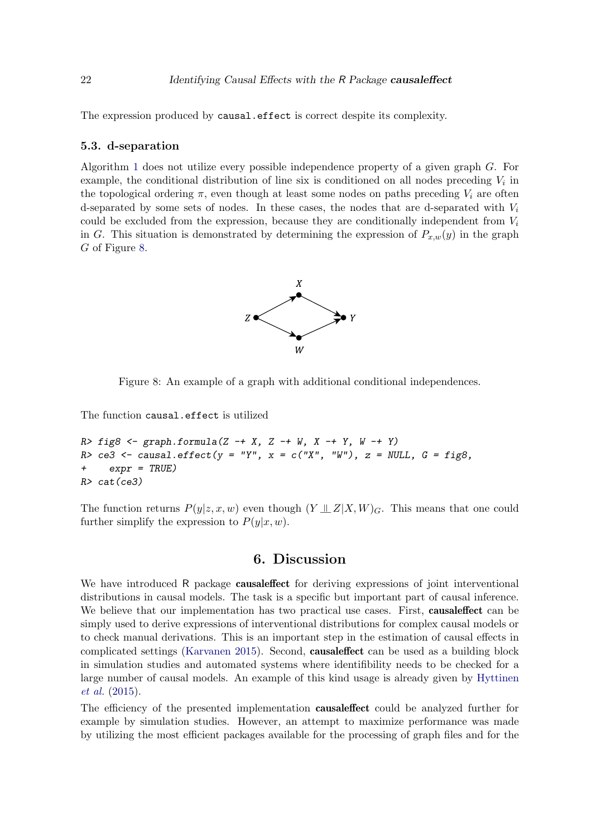The expression produced by causal.effect is correct despite its complexity.

### 5.3. d-separation

<span id="page-21-1"></span>Algorithm [1](#page-8-0) does not utilize every possible independence property of a given graph G. For example, the conditional distribution of line six is conditioned on all nodes preceding  $V_i$  in the topological ordering  $\pi$ , even though at least some nodes on paths preceding  $V_i$  are often d-separated by some sets of nodes. In these cases, the nodes that are d-separated with  $V_i$ could be excluded from the expression, because they are conditionally independent from  $V_i$ in G. This situation is demonstrated by determining the expression of  $P_{x,w}(y)$  in the graph G of Figure [8.](#page-21-1)



Figure 8: An example of a graph with additional conditional independences.

The function causal.effect is utilized

```
R > fig8 \leftarrow graph.format(aZ -+ X, Z -+ W, X -+ Y, W -+ Y)R> ce3 <- causal.effect(y = "Y", x = c("X", "W"), z = NULL, G = fig8,
+ expr = TRUE)
R> cat(ce3)
```
The function returns  $P(y|z, x, w)$  even though  $(Y \perp\!\!\!\perp Z | X, W)$ <sub>G</sub>. This means that one could further simplify the expression to  $P(y|x, w)$ .

### 6. Discussion

<span id="page-21-0"></span>We have introduced R package **causaleffect** for deriving expressions of joint interventional distributions in causal models. The task is a specific but important part of causal inference. We believe that our implementation has two practical use cases. First, **causaleffect** can be simply used to derive expressions of interventional distributions for complex causal models or to check manual derivations. This is an important step in the estimation of causal effects in complicated settings [\(Karvanen](#page-23-12) [2015\)](#page-23-12). Second, causaleffect can be used as a building block in simulation studies and automated systems where identifibility needs to be checked for a large number of causal models. An example of this kind usage is already given by [Hyttinen](#page-23-13) [et al.](#page-23-13) [\(2015\)](#page-23-13).

The efficiency of the presented implementation causaleffect could be analyzed further for example by simulation studies. However, an attempt to maximize performance was made by utilizing the most efficient packages available for the processing of graph files and for the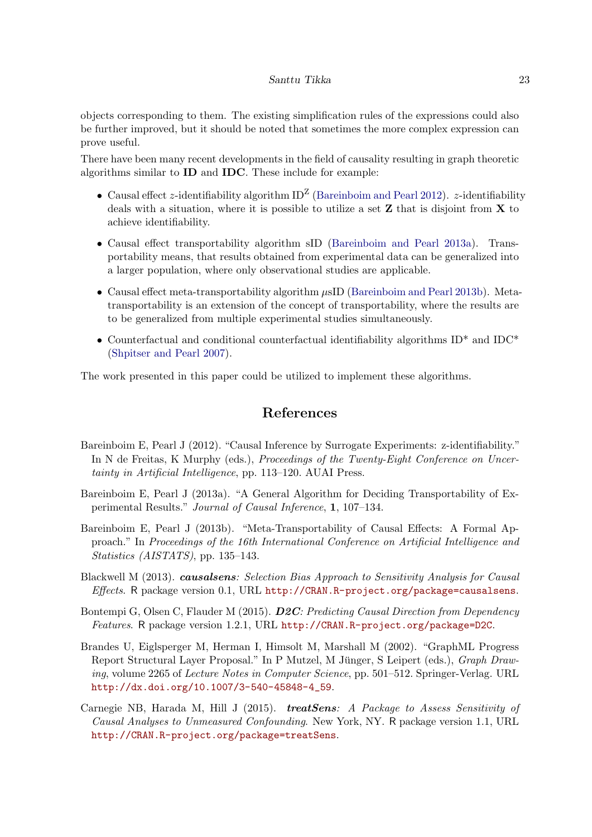objects corresponding to them. The existing simplification rules of the expressions could also be further improved, but it should be noted that sometimes the more complex expression can prove useful.

There have been many recent developments in the field of causality resulting in graph theoretic algorithms similar to ID and IDC. These include for example:

- Causal effect z-identifiability algorithm  $ID^Z$  [\(Bareinboim and Pearl](#page-22-4) [2012\)](#page-22-4). z-identifiability deals with a situation, where it is possible to utilize a set  $Z$  that is disjoint from  $X$  to achieve identifiability.
- Causal effect transportability algorithm sID [\(Bareinboim and Pearl](#page-22-5) [2013a\)](#page-22-5). Transportability means, that results obtained from experimental data can be generalized into a larger population, where only observational studies are applicable.
- Causal effect meta-transportability algorithm µsID [\(Bareinboim and Pearl](#page-22-6) [2013b\)](#page-22-6). Metatransportability is an extension of the concept of transportability, where the results are to be generalized from multiple experimental studies simultaneously.
- Counterfactual and conditional counterfactual identifiability algorithms  $ID^*$  and  $IDC^*$ [\(Shpitser and Pearl](#page-24-15) [2007\)](#page-24-15).

The work presented in this paper could be utilized to implement these algorithms.

# References

- <span id="page-22-4"></span>Bareinboim E, Pearl J (2012). "Causal Inference by Surrogate Experiments: z-identifiability." In N de Freitas, K Murphy (eds.), *Proceedings of the Twenty-Eight Conference on Uncer*tainty in Artificial Intelligence, pp. 113–120. AUAI Press.
- <span id="page-22-5"></span>Bareinboim E, Pearl J (2013a). "A General Algorithm for Deciding Transportability of Experimental Results." Journal of Causal Inference, 1, 107–134.
- <span id="page-22-6"></span>Bareinboim E, Pearl J (2013b). "Meta-Transportability of Causal Effects: A Formal Approach." In Proceedings of the 16th International Conference on Artificial Intelligence and Statistics (AISTATS), pp. 135–143.
- <span id="page-22-0"></span>Blackwell M (2013). *causalsens: Selection Bias Approach to Sensitivity Analysis for Causal* Effects. R package version 0.1, URL <http://CRAN.R-project.org/package=causalsens>.
- <span id="page-22-2"></span>Bontempi G, Olsen C, Flauder M (2015). D2C: Predicting Causal Direction from Dependency Features. R package version 1.2.1, URL <http://CRAN.R-project.org/package=D2C>.
- <span id="page-22-3"></span>Brandes U, Eiglsperger M, Herman I, Himsolt M, Marshall M (2002). "GraphML Progress Report Structural Layer Proposal." In P Mutzel, M Jünger, S Leipert (eds.), *Graph Draw*ing, volume 2265 of Lecture Notes in Computer Science, pp. 501–512. Springer-Verlag. URL [http://dx.doi.org/10.1007/3-540-45848-4\\_59](http://dx.doi.org/10.1007/3-540-45848-4_59).
- <span id="page-22-1"></span>Carnegie NB, Harada M, Hill J (2015). **treatSens**: A Package to Assess Sensitivity of Causal Analyses to Unmeasured Confounding. New York, NY. R package version 1.1, URL <http://CRAN.R-project.org/package=treatSens>.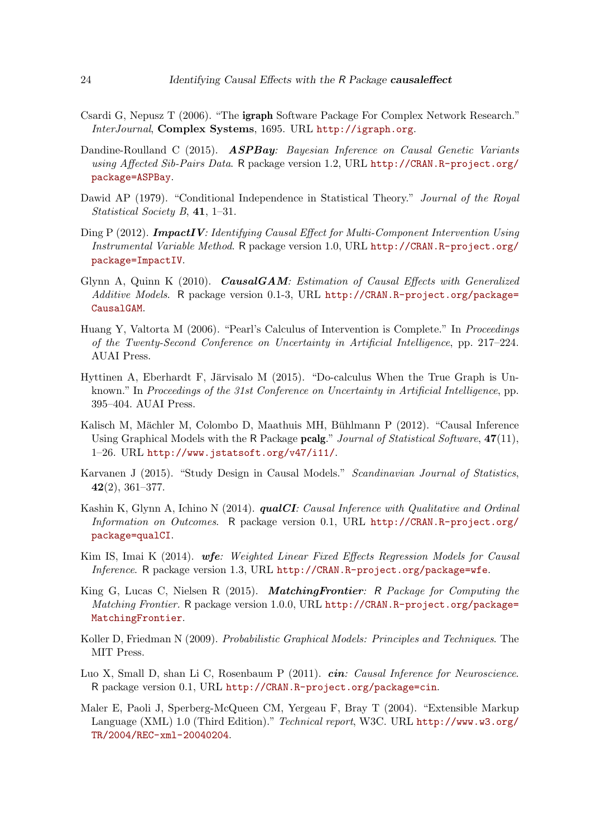- <span id="page-23-10"></span>Csardi G, Nepusz T (2006). "The igraph Software Package For Complex Network Research." InterJournal, Complex Systems, 1695. URL <http://igraph.org>.
- <span id="page-23-2"></span>Dandine-Roulland C (2015). **ASPBay**: Bayesian Inference on Causal Genetic Variants using Affected Sib-Pairs Data. R package version 1.2, URL [http://CRAN.R-project.org/](http://CRAN.R-project.org/package=ASPBay) [package=ASPBay](http://CRAN.R-project.org/package=ASPBay).
- <span id="page-23-14"></span>Dawid AP (1979). "Conditional Independence in Statistical Theory." Journal of the Royal Statistical Society B, 41, 1–31.
- <span id="page-23-6"></span>Ding P (2012). **ImpactIV**: Identifying Causal Effect for Multi-Component Intervention Using Instrumental Variable Method. R package version 1.0, URL [http://CRAN.R-project.org/](http://CRAN.R-project.org/package=ImpactIV) [package=ImpactIV](http://CRAN.R-project.org/package=ImpactIV).
- <span id="page-23-4"></span>Glynn A, Quinn K  $(2010)$ . **CausalGAM**: Estimation of Causal Effects with Generalized Additive Models. R package version 0.1-3, URL [http://CRAN.R-project.org/package=](http://CRAN.R-project.org/package=CausalGAM) [CausalGAM](http://CRAN.R-project.org/package=CausalGAM).
- <span id="page-23-9"></span>Huang Y, Valtorta M (2006). "Pearl's Calculus of Intervention is Complete." In Proceedings of the Twenty-Second Conference on Uncertainty in Artificial Intelligence, pp. 217–224. AUAI Press.
- <span id="page-23-13"></span>Hyttinen A, Eberhardt F, Järvisalo M (2015). "Do-calculus When the True Graph is Unknown." In Proceedings of the 31st Conference on Uncertainty in Artificial Intelligence, pp. 395–404. AUAI Press.
- <span id="page-23-0"></span>Kalisch M, Mächler M, Colombo D, Maathuis MH, Bühlmann P (2012). "Causal Inference Using Graphical Models with the R Package pcalg." Journal of Statistical Software, 47(11), 1–26. URL <http://www.jstatsoft.org/v47/i11/>.
- <span id="page-23-12"></span>Karvanen J (2015). "Study Design in Causal Models." Scandinavian Journal of Statistics, 42(2), 361–377.
- <span id="page-23-8"></span>Kashin K, Glynn A, Ichino N (2014). *qualCI: Causal Inference with Qualitative and Ordinal* Information on Outcomes. R package version 0.1, URL [http://CRAN.R-project.org/](http://CRAN.R-project.org/package=qualCI) [package=qualCI](http://CRAN.R-project.org/package=qualCI).
- <span id="page-23-5"></span>Kim IS, Imai K (2014). wfe: Weighted Linear Fixed Effects Regression Models for Causal Inference. R package version 1.3, URL <http://CRAN.R-project.org/package=wfe>.
- <span id="page-23-7"></span>King G, Lucas C, Nielsen R (2015). **MatchingFrontier**: R Package for Computing the Matching Frontier. R package version 1.0.0, URL [http://CRAN.R-project.org/package=](http://CRAN.R-project.org/package=MatchingFrontier) [MatchingFrontier](http://CRAN.R-project.org/package=MatchingFrontier).
- <span id="page-23-1"></span>Koller D, Friedman N (2009). *Probabilistic Graphical Models: Principles and Techniques*. The MIT Press.
- <span id="page-23-3"></span>Luo X, Small D, shan Li C, Rosenbaum P (2011). *cin: Causal Inference for Neuroscience*. R package version 0.1, URL <http://CRAN.R-project.org/package=cin>.
- <span id="page-23-11"></span>Maler E, Paoli J, Sperberg-McQueen CM, Yergeau F, Bray T (2004). "Extensible Markup Language (XML) 1.0 (Third Edition)." Technical report, W3C. URL [http://www.w3.org/](http://www.w3.org/TR/2004/REC-xml-20040204) [TR/2004/REC-xml-20040204](http://www.w3.org/TR/2004/REC-xml-20040204).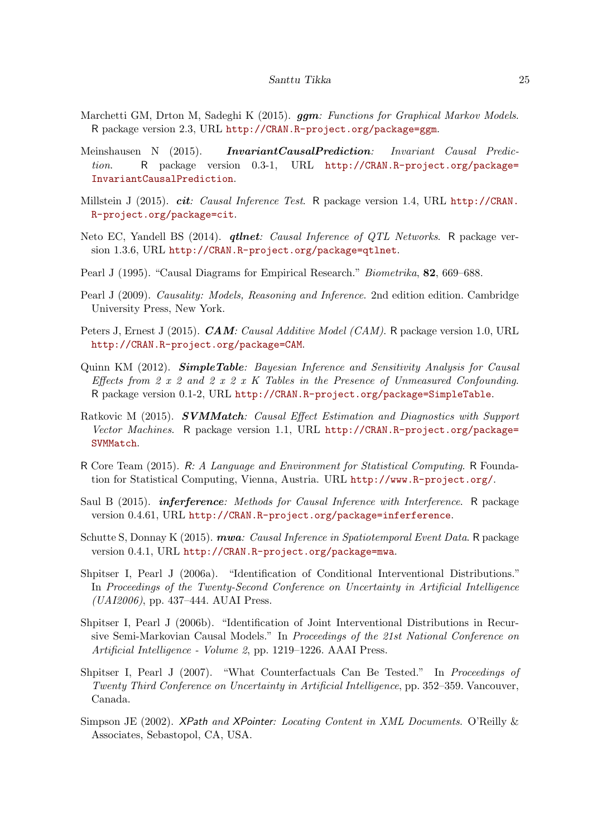- <span id="page-24-13"></span>Marchetti GM, Drton M, Sadeghi K (2015). **ggm**: Functions for Graphical Markov Models. R package version 2.3, URL <http://CRAN.R-project.org/package=ggm>.
- <span id="page-24-5"></span>Meinshausen N (2015). **InvariantCausalPrediction**: Invariant Causal Prediction. R package version 0.3-1, URL [http://CRAN.R-project.org/package=](http://CRAN.R-project.org/package=InvariantCausalPrediction) [InvariantCausalPrediction](http://CRAN.R-project.org/package=InvariantCausalPrediction).
- <span id="page-24-7"></span>Millstein J (2015). *cit: Causal Inference Test*. R package version 1.4, URL [http://CRAN.](http://CRAN.R-project.org/package=cit) [R-project.org/package=cit](http://CRAN.R-project.org/package=cit).
- <span id="page-24-4"></span>Neto EC, Yandell BS (2014). *atlnet: Causal Inference of OTL Networks*. R package version 1.3.6, URL <http://CRAN.R-project.org/package=qtlnet>.
- <span id="page-24-1"></span>Pearl J (1995). "Causal Diagrams for Empirical Research." Biometrika, 82, 669–688.
- <span id="page-24-2"></span>Pearl J (2009). Causality: Models, Reasoning and Inference. 2nd edition edition. Cambridge University Press, New York.
- <span id="page-24-10"></span>Peters J, Ernest J (2015). **CAM:** Causal Additive Model (CAM). R package version 1.0, URL <http://CRAN.R-project.org/package=CAM>.
- <span id="page-24-9"></span>Quinn KM (2012). **SimpleTable**: Bayesian Inference and Sensitivity Analysis for Causal Effects from 2 x 2 and 2 x 2 x K Tables in the Presence of Unmeasured Confounding. R package version 0.1-2, URL <http://CRAN.R-project.org/package=SimpleTable>.
- <span id="page-24-6"></span>Ratkovic M (2015). **SVMMatch**: Causal Effect Estimation and Diagnostics with Support Vector Machines. R package version 1.1, URL [http://CRAN.R-project.org/package=](http://CRAN.R-project.org/package=SVMMatch) [SVMMatch](http://CRAN.R-project.org/package=SVMMatch).
- <span id="page-24-12"></span>R Core Team (2015). R: A Language and Environment for Statistical Computing. R Foundation for Statistical Computing, Vienna, Austria. URL <http://www.R-project.org/>.
- <span id="page-24-8"></span>Saul B (2015). *inferference:* Methods for Causal Inference with Interference. R package version 0.4.61, URL <http://CRAN.R-project.org/package=inferference>.
- <span id="page-24-3"></span>Schutte S, Donnay K (2015). *mwa: Causal Inference in Spatiotemporal Event Data.* R package version 0.4.1, URL <http://CRAN.R-project.org/package=mwa>.
- <span id="page-24-11"></span>Shpitser I, Pearl J (2006a). "Identification of Conditional Interventional Distributions." In Proceedings of the Twenty-Second Conference on Uncertainty in Artificial Intelligence (UAI2006), pp. 437–444. AUAI Press.
- <span id="page-24-0"></span>Shpitser I, Pearl J (2006b). "Identification of Joint Interventional Distributions in Recursive Semi-Markovian Causal Models." In Proceedings of the 21st National Conference on Artificial Intelligence - Volume 2, pp. 1219–1226. AAAI Press.
- <span id="page-24-15"></span>Shpitser I, Pearl J (2007). "What Counterfactuals Can Be Tested." In Proceedings of Twenty Third Conference on Uncertainty in Artificial Intelligence, pp. 352–359. Vancouver, Canada.
- <span id="page-24-14"></span>Simpson JE (2002). XPath and XPointer: Locating Content in XML Documents. O'Reilly & Associates, Sebastopol, CA, USA.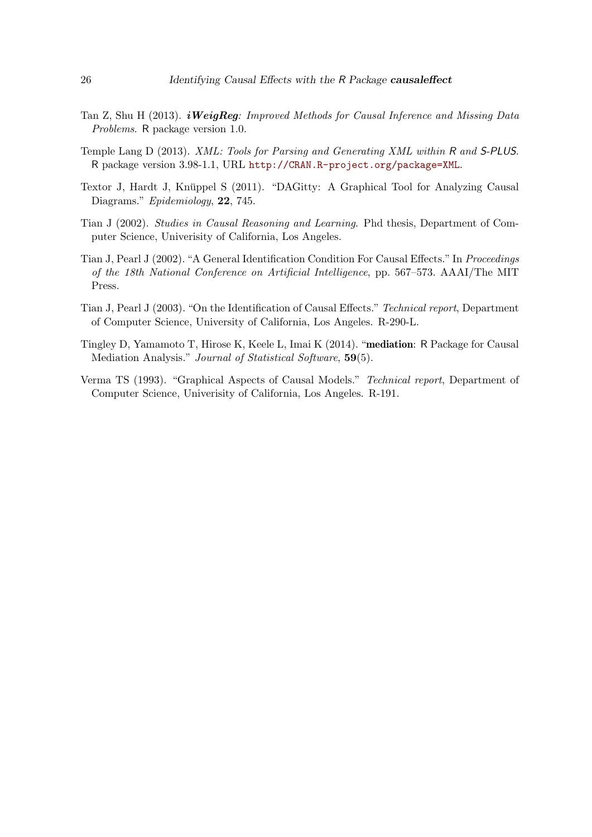- <span id="page-25-2"></span>Tan Z, Shu H (2013). *iWeigReg: Improved Methods for Causal Inference and Missing Data* Problems. R package version 1.0.
- <span id="page-25-6"></span>Temple Lang D (2013). XML: Tools for Parsing and Generating XML within R and S-PLUS. R package version 3.98-1.1, URL <http://CRAN.R-project.org/package=XML>.
- <span id="page-25-1"></span>Textor J, Hardt J, Knüppel S (2011). "DAGitty: A Graphical Tool for Analyzing Causal Diagrams." Epidemiology, 22, 745.
- <span id="page-25-4"></span>Tian J (2002). Studies in Causal Reasoning and Learning. Phd thesis, Department of Computer Science, Univerisity of California, Los Angeles.
- <span id="page-25-5"></span>Tian J, Pearl J (2002). "A General Identification Condition For Causal Effects." In Proceedings of the 18th National Conference on Artificial Intelligence, pp. 567–573. AAAI/The MIT Press.
- <span id="page-25-0"></span>Tian J, Pearl J (2003). "On the Identification of Causal Effects." Technical report, Department of Computer Science, University of California, Los Angeles. R-290-L.
- <span id="page-25-3"></span>Tingley D, Yamamoto T, Hirose K, Keele L, Imai K (2014). "mediation: R Package for Causal Mediation Analysis." Journal of Statistical Software, 59(5).
- <span id="page-25-7"></span>Verma TS (1993). "Graphical Aspects of Causal Models." Technical report, Department of Computer Science, Univerisity of California, Los Angeles. R-191.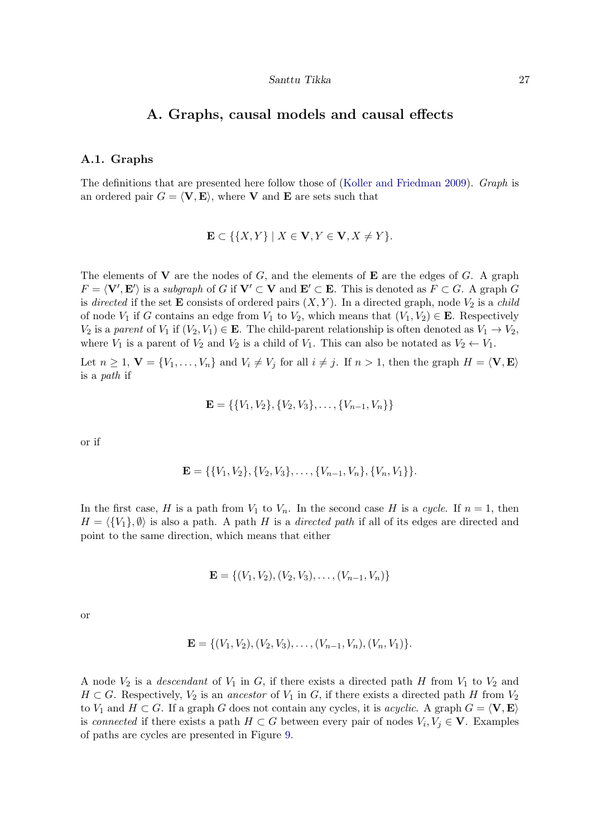### A. Graphs, causal models and causal effects

### <span id="page-26-0"></span>A.1. Graphs

The definitions that are presented here follow those of [\(Koller and Friedman](#page-23-1) [2009\)](#page-23-1). Graph is an ordered pair  $G = \langle V, E \rangle$ , where V and E are sets such that

$$
\mathbf{E} \subset \{ \{X, Y\} \mid X \in \mathbf{V}, Y \in \mathbf{V}, X \neq Y \}.
$$

The elements of  $V$  are the nodes of  $G$ , and the elements of  $E$  are the edges of  $G$ . A graph  $F = \langle V', E' \rangle$  is a subgraph of G if  $V' \subset V$  and  $E' \subset E$ . This is denoted as  $F \subset G$ . A graph G is directed if the set **E** consists of ordered pairs  $(X, Y)$ . In a directed graph, node  $V_2$  is a *child* of node  $V_1$  if G contains an edge from  $V_1$  to  $V_2$ , which means that  $(V_1, V_2) \in \mathbf{E}$ . Respectively  $V_2$  is a parent of  $V_1$  if  $(V_2, V_1) \in \mathbf{E}$ . The child-parent relationship is often denoted as  $V_1 \to V_2$ , where  $V_1$  is a parent of  $V_2$  and  $V_2$  is a child of  $V_1$ . This can also be notated as  $V_2 \leftarrow V_1$ .

Let  $n \geq 1$ ,  $\mathbf{V} = \{V_1, \ldots, V_n\}$  and  $V_i \neq V_j$  for all  $i \neq j$ . If  $n > 1$ , then the graph  $H = \langle \mathbf{V}, \mathbf{E} \rangle$ is a path if

$$
\mathbf{E} = \{ \{V_1, V_2\}, \{V_2, V_3\}, \dots, \{V_{n-1}, V_n\} \}
$$

or if

$$
\mathbf{E} = \{ \{V_1, V_2\}, \{V_2, V_3\}, \ldots, \{V_{n-1}, V_n\}, \{V_n, V_1\} \}.
$$

In the first case, H is a path from  $V_1$  to  $V_n$ . In the second case H is a cycle. If  $n = 1$ , then  $H = \langle \{V_1\}, \emptyset \rangle$  is also a path. A path H is a directed path if all of its edges are directed and point to the same direction, which means that either

$$
\mathbf{E} = \{ (V_1, V_2), (V_2, V_3), \dots, (V_{n-1}, V_n) \}
$$

or

$$
\mathbf{E} = \{ (V_1, V_2), (V_2, V_3), \dots, (V_{n-1}, V_n), (V_n, V_1) \}.
$$

A node  $V_2$  is a *descendant* of  $V_1$  in  $G$ , if there exists a directed path H from  $V_1$  to  $V_2$  and  $H \subset G$ . Respectively,  $V_2$  is an ancestor of  $V_1$  in G, if there exists a directed path H from  $V_2$ to  $V_1$  and  $H \subset G$ . If a graph G does not contain any cycles, it is *acyclic*. A graph  $G = \langle \mathbf{V}, \mathbf{E} \rangle$ is connected if there exists a path  $H \subset G$  between every pair of nodes  $V_i, V_j \in V$ . Examples of paths are cycles are presented in Figure [9.](#page-27-0)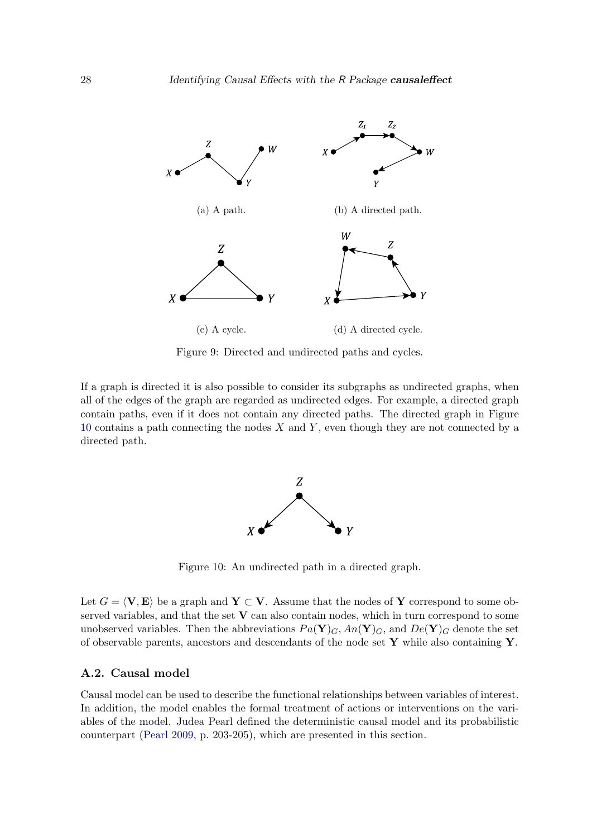<span id="page-27-0"></span>

Figure 9: Directed and undirected paths and cycles.

<span id="page-27-1"></span>If a graph is directed it is also possible to consider its subgraphs as undirected graphs, when all of the edges of the graph are regarded as undirected edges. For example, a directed graph contain paths, even if it does not contain any directed paths. The directed graph in Figure [10](#page-27-1) contains a path connecting the nodes  $X$  and  $Y$ , even though they are not connected by a directed path.



Figure 10: An undirected path in a directed graph.

Let  $G = \langle V, E \rangle$  be a graph and  $Y \subset V$ . Assume that the nodes of Y correspond to some observed variables, and that the set  $V$  can also contain nodes, which in turn correspond to some unobserved variables. Then the abbreviations  $Pa(Y)<sub>G</sub>, An(Y)<sub>G</sub>,$  and  $De(Y)<sub>G</sub>$  denote the set of observable parents, ancestors and descendants of the node set  $\mathbf Y$  while also containing  $\mathbf Y$ .

#### A.2. Causal model

Causal model can be used to describe the functional relationships between variables of interest. In addition, the model enables the formal treatment of actions or interventions on the variables of the model. Judea Pearl defined the deterministic causal model and its probabilistic counterpart [\(Pearl](#page-24-2) [2009,](#page-24-2) p. 203-205), which are presented in this section.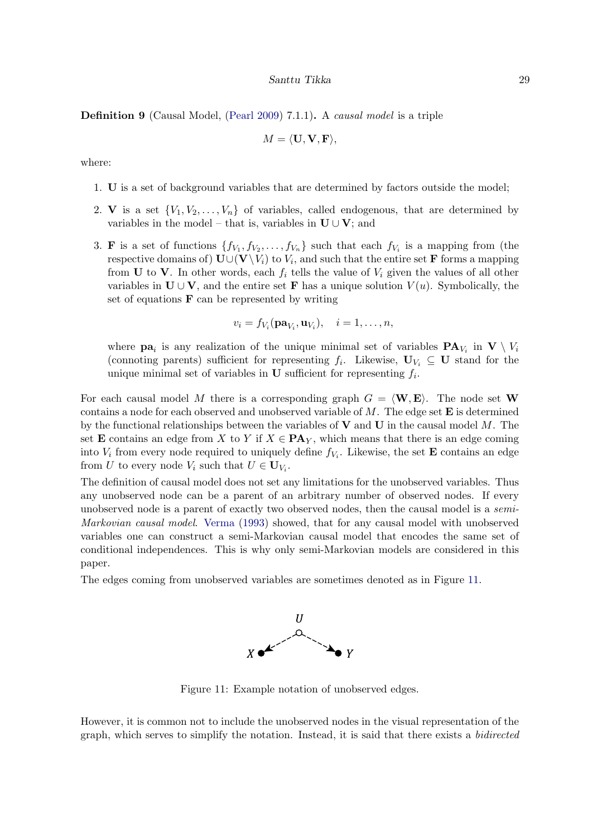Definition 9 (Causal Model, [\(Pearl](#page-24-2) [2009\)](#page-24-2) 7.1.1). A causal model is a triple

$$
M = \langle \mathbf{U}, \mathbf{V}, \mathbf{F} \rangle,
$$

where:

- 1. U is a set of background variables that are determined by factors outside the model;
- 2. V is a set  $\{V_1, V_2, \ldots, V_n\}$  of variables, called endogenous, that are determined by variables in the model – that is, variables in  $\mathbf{U} \cup \mathbf{V}$ ; and
- 3. **F** is a set of functions  $\{f_{V_1}, f_{V_2}, \ldots, f_{V_n}\}\$  such that each  $f_{V_i}$  is a mapping from (the respective domains of)  ${\bf U} \cup ({\bf V}\setminus V_i)$  to  $V_i,$  and such that the entire set  ${\bf F}$  forms a mapping from **U** to **V**. In other words, each  $f_i$  tells the value of  $V_i$  given the values of all other variables in  $\mathbf{U} \cup \mathbf{V}$ , and the entire set **F** has a unique solution  $V(u)$ . Symbolically, the set of equations  $\bf{F}$  can be represented by writing

$$
v_i = f_{V_i}(\mathbf{pa}_{V_i}, \mathbf{u}_{V_i}), \quad i = 1, \ldots, n,
$$

where  $\mathbf{pa}_i$  is any realization of the unique minimal set of variables  $\mathbf{PA}_{V_i}$  in  $\mathbf{V} \setminus V_i$ (connoting parents) sufficient for representing  $f_i$ . Likewise,  $\mathbf{U}_{V_i} \subseteq \mathbf{U}$  stand for the unique minimal set of variables in  $U$  sufficient for representing  $f_i$ .

For each causal model M there is a corresponding graph  $G = \langle W, E \rangle$ . The node set W contains a node for each observed and unobserved variable of  $M$ . The edge set  $\mathbf E$  is determined by the functional relationships between the variables of  $V$  and  $U$  in the causal model  $M$ . The set **E** contains an edge from X to Y if  $X \in \mathbf{PA}_Y$ , which means that there is an edge coming into  $V_i$  from every node required to uniquely define  $f_{V_i}$ . Likewise, the set **E** contains an edge from U to every node  $V_i$  such that  $U \in U_{V_i}$ .

The definition of causal model does not set any limitations for the unobserved variables. Thus any unobserved node can be a parent of an arbitrary number of observed nodes. If every unobserved node is a parent of exactly two observed nodes, then the causal model is a semi-Markovian causal model. [Verma](#page-25-7) [\(1993\)](#page-25-7) showed, that for any causal model with unobserved variables one can construct a semi-Markovian causal model that encodes the same set of conditional independences. This is why only semi-Markovian models are considered in this paper.

<span id="page-28-0"></span>The edges coming from unobserved variables are sometimes denoted as in Figure [11.](#page-28-0)



Figure 11: Example notation of unobserved edges.

However, it is common not to include the unobserved nodes in the visual representation of the graph, which serves to simplify the notation. Instead, it is said that there exists a bidirected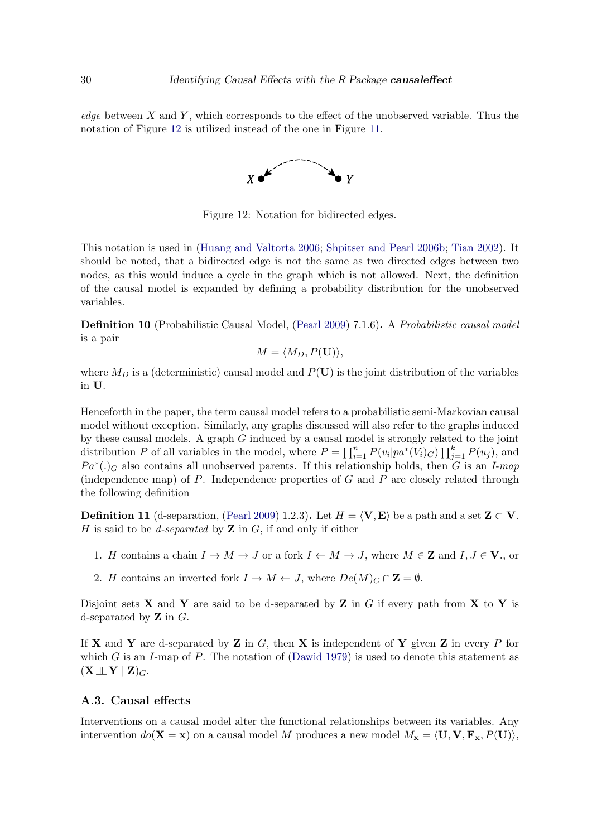<span id="page-29-0"></span>edge between  $X$  and  $Y$ , which corresponds to the effect of the unobserved variable. Thus the notation of Figure [12](#page-29-0) is utilized instead of the one in Figure [11.](#page-28-0)



Figure 12: Notation for bidirected edges.

This notation is used in [\(Huang and Valtorta](#page-23-9) [2006;](#page-23-9) [Shpitser and Pearl](#page-24-0) [2006b;](#page-24-0) [Tian](#page-25-4) [2002\)](#page-25-4). It should be noted, that a bidirected edge is not the same as two directed edges between two nodes, as this would induce a cycle in the graph which is not allowed. Next, the definition of the causal model is expanded by defining a probability distribution for the unobserved variables.

Definition 10 (Probabilistic Causal Model, [\(Pearl](#page-24-2) [2009\)](#page-24-2) 7.1.6). A Probabilistic causal model is a pair

$$
M = \langle M_D, P(\mathbf{U}) \rangle,
$$

where  $M_D$  is a (deterministic) causal model and  $P(\mathbf{U})$  is the joint distribution of the variables in U.

Henceforth in the paper, the term causal model refers to a probabilistic semi-Markovian causal model without exception. Similarly, any graphs discussed will also refer to the graphs induced by these causal models. A graph  $G$  induced by a causal model is strongly related to the joint distribution P of all variables in the model, where  $P = \prod_{i=1}^{n} P(v_i|pa^*(V_i)G) \prod_{j=1}^{k} P(u_j)$ , and  $Pa<sup>*</sup>(.)<sub>G</sub>$  also contains all unobserved parents. If this relationship holds, then G is an I-map (independence map) of  $P$ . Independence properties of  $G$  and  $P$  are closely related through the following definition

**Definition 11** (d-separation, [\(Pearl](#page-24-2) [2009\)](#page-24-2) 1.2.3). Let  $H = \langle V, E \rangle$  be a path and a set  $\mathbb{Z} \subset V$ . H is said to be *d-separated* by  $\mathbf{Z}$  in  $G$ , if and only if either

- 1. H contains a chain  $I \to M \to J$  or a fork  $I \leftarrow M \to J$ , where  $M \in \mathbb{Z}$  and  $I, J \in \mathbb{V}$ ., or
- 2. H contains an inverted fork  $I \to M \leftarrow J$ , where  $De(M)_G \cap \mathbf{Z} = \emptyset$ .

Disjoint sets **X** and **Y** are said to be d-separated by **Z** in G if every path from **X** to **Y** is d-separated by  $Z$  in  $G$ .

If **X** and **Y** are d-separated by **Z** in G, then **X** is independent of **Y** given **Z** in every P for which G is an I-map of P. The notation of  $(Dawid 1979)$  $(Dawid 1979)$  $(Dawid 1979)$  is used to denote this statement as  $(X \perp\!\!\!\perp Y \mid \mathbf{Z})_G.$ 

### A.3. Causal effects

Interventions on a causal model alter the functional relationships between its variables. Any intervention  $do(X = x)$  on a causal model M produces a new model  $M_x = \langle U, V, F_x, P(U) \rangle$ ,